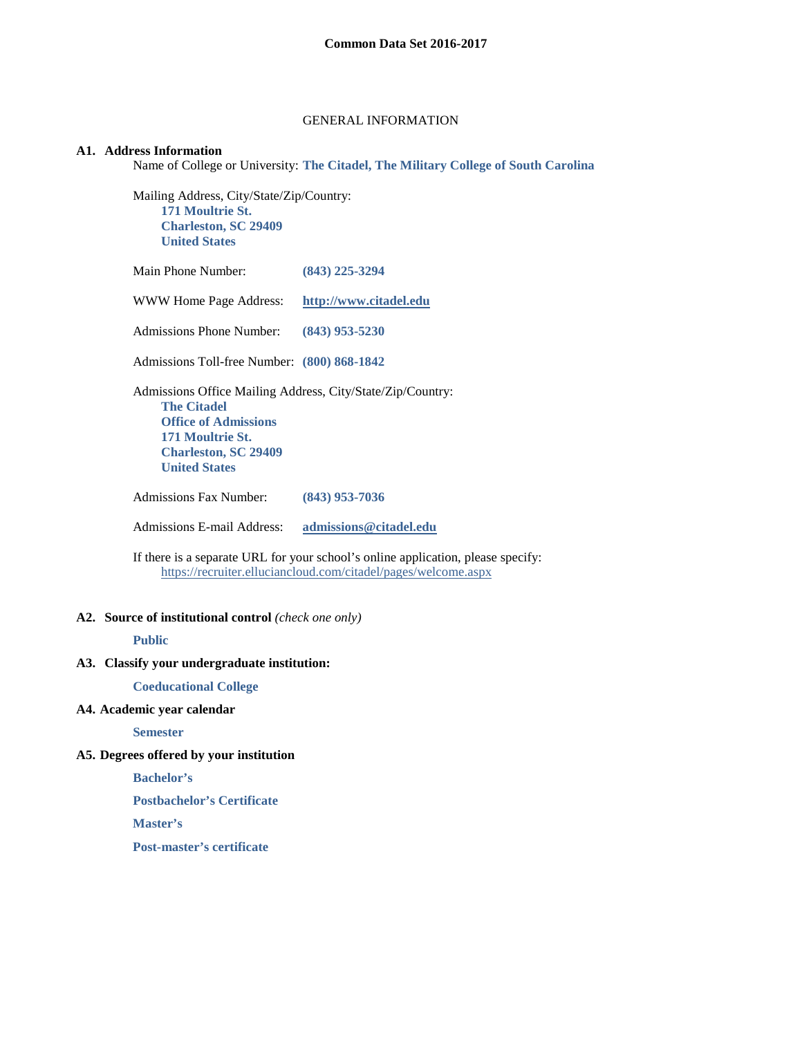#### GENERAL INFORMATION

## **A1. Address Information**

Name of College or University: **The Citadel, The Military College of South Carolina**

Mailing Address, City/State/Zip/Country: **171 Moultrie St. Charleston, SC 29409 United States**

Main Phone Number: **(843) 225-3294**

WWW Home Page Address: **[http://www.citadel.edu](http://www.citadel.edu/)**

Admissions Phone Number: **(843) 953-5230**

Admissions Toll-free Number: **(800) 868-1842**

Admissions Office Mailing Address, City/State/Zip/Country:

**The Citadel Office of Admissions 171 Moultrie St. Charleston, SC 29409 United States**

Admissions Fax Number: **(843) 953-7036**

Admissions E-mail Address: **[admissions@citadel.edu](mailto:admissions@citadel.edu)**

If there is a separate URL for your school's online application, please specify: <https://recruiter.elluciancloud.com/citadel/pages/welcome.aspx>

#### **A2. Source of institutional control** *(check one only)*

#### **Public**

### **A3. Classify your undergraduate institution:**

**Coeducational College**

### **A4. Academic year calendar**

**Semester**

### **A5. Degrees offered by your institution**

**Bachelor's**

**Postbachelor's Certificate**

**Master's**

**Post-master's certificate**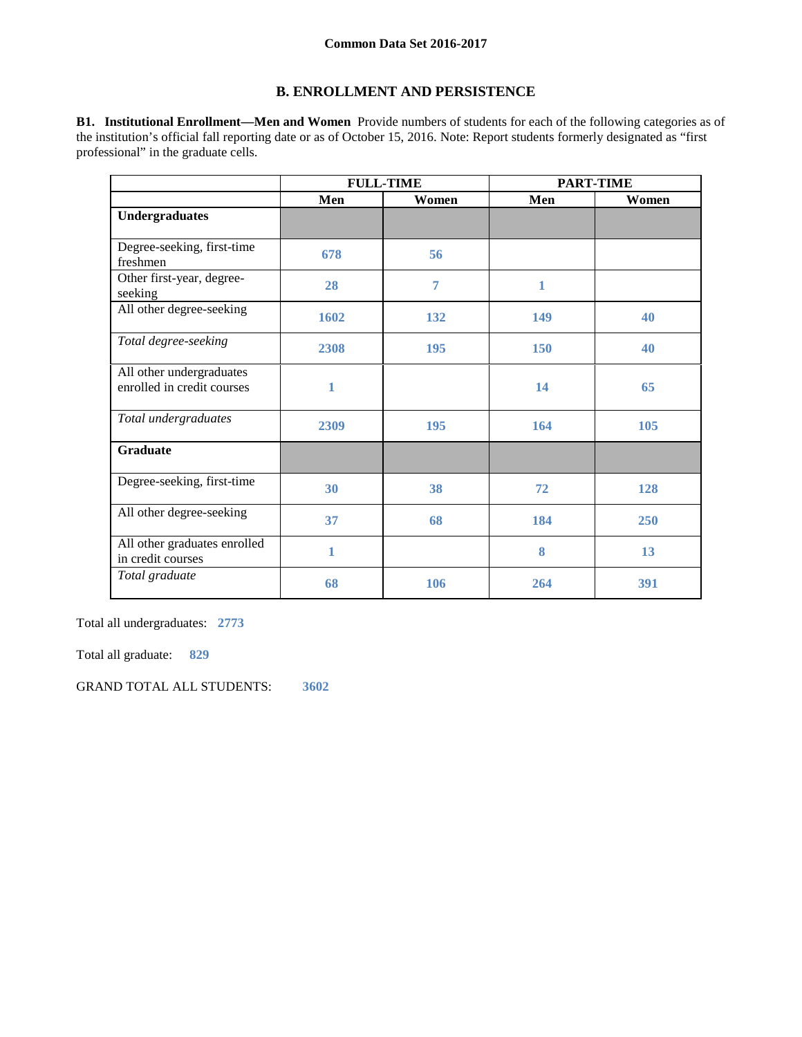# **B. ENROLLMENT AND PERSISTENCE**

**B1. Institutional Enrollment—Men and Women** Provide numbers of students for each of the following categories as of the institution's official fall reporting date or as of October 15, 2016. Note: Report students formerly designated as "first professional" in the graduate cells.

|                                                        | <b>FULL-TIME</b> |       | <b>PART-TIME</b> |       |  |
|--------------------------------------------------------|------------------|-------|------------------|-------|--|
|                                                        | Men              | Women | Men              | Women |  |
| <b>Undergraduates</b>                                  |                  |       |                  |       |  |
| Degree-seeking, first-time<br>freshmen                 | 678              | 56    |                  |       |  |
| Other first-year, degree-<br>seeking                   | 28               | 7     | 1                |       |  |
| All other degree-seeking                               | 1602             | 132   | 149              | 40    |  |
| Total degree-seeking                                   | 2308             | 195   | <b>150</b>       | 40    |  |
| All other undergraduates<br>enrolled in credit courses | 1                |       | 14               | 65    |  |
| Total undergraduates                                   | 2309             | 195   | 164              | 105   |  |
| <b>Graduate</b>                                        |                  |       |                  |       |  |
| Degree-seeking, first-time                             | 30               | 38    | 72               | 128   |  |
| All other degree-seeking                               | 37               | 68    | 184              | 250   |  |
| All other graduates enrolled<br>in credit courses      | 1                |       | 8                | 13    |  |
| Total graduate                                         | 68               | 106   | 264              | 391   |  |

Total all undergraduates: **2773**

Total all graduate: **829**

GRAND TOTAL ALL STUDENTS: **3602**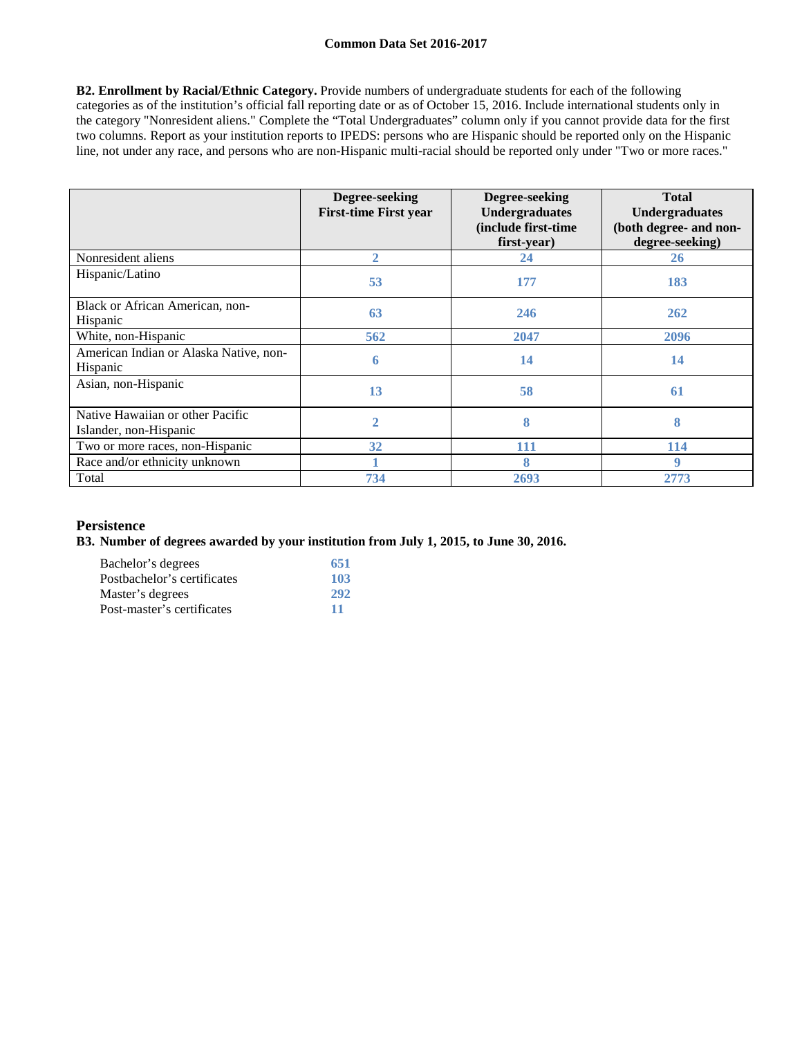**B2. Enrollment by Racial/Ethnic Category.** Provide numbers of undergraduate students for each of the following categories as of the institution's official fall reporting date or as of October 15, 2016. Include international students only in the category "Nonresident aliens." Complete the "Total Undergraduates" column only if you cannot provide data for the first two columns. Report as your institution reports to IPEDS: persons who are Hispanic should be reported only on the Hispanic line, not under any race, and persons who are non-Hispanic multi-racial should be reported only under "Two or more races."

|                                                            | Degree-seeking<br><b>First-time First year</b> | Degree-seeking<br>Undergraduates<br>(include first-time<br>first-year) | <b>Total</b><br><b>Undergraduates</b><br>(both degree- and non-<br>degree-seeking) |
|------------------------------------------------------------|------------------------------------------------|------------------------------------------------------------------------|------------------------------------------------------------------------------------|
| Nonresident aliens                                         | $\overline{2}$                                 | 24                                                                     | <b>26</b>                                                                          |
| Hispanic/Latino                                            | 53                                             | 177                                                                    | 183                                                                                |
| Black or African American, non-<br>Hispanic                | 63                                             | 246                                                                    | 262                                                                                |
| White, non-Hispanic                                        | 562                                            | 2047                                                                   | 2096                                                                               |
| American Indian or Alaska Native, non-<br>Hispanic         | 6                                              | 14                                                                     | 14                                                                                 |
| Asian, non-Hispanic                                        | 13                                             | 58                                                                     | 61                                                                                 |
| Native Hawaiian or other Pacific<br>Islander, non-Hispanic | $\overline{2}$                                 | 8                                                                      | 8                                                                                  |
| Two or more races, non-Hispanic                            | 32                                             | 111                                                                    | 114                                                                                |
| Race and/or ethnicity unknown                              |                                                | 8                                                                      | 9                                                                                  |
| Total                                                      | 734                                            | 2693                                                                   | 2773                                                                               |

# **Persistence**

**B3. Number of degrees awarded by your institution from July 1, 2015, to June 30, 2016.**

| Bachelor's degrees          | 651 |
|-----------------------------|-----|
| Postbachelor's certificates | 103 |
| Master's degrees            | 292 |
| Post-master's certificates  | 11  |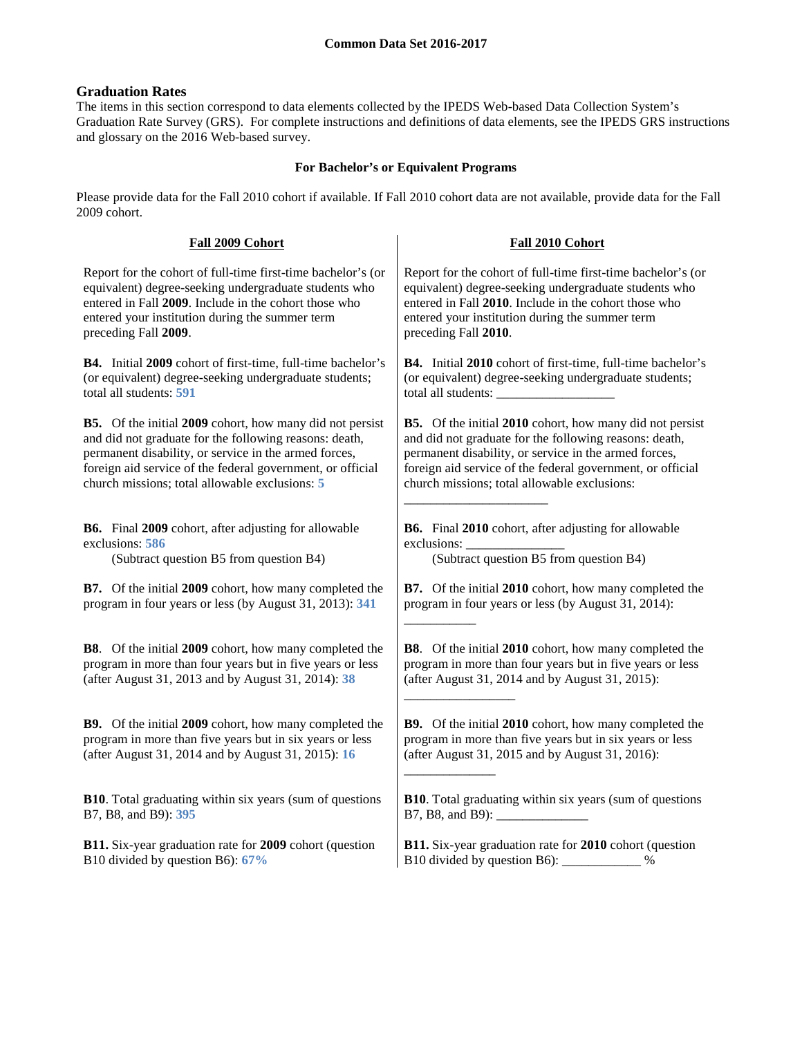# **Graduation Rates**

The items in this section correspond to data elements collected by the IPEDS Web-based Data Collection System's Graduation Rate Survey (GRS). For complete instructions and definitions of data elements, see the IPEDS GRS instructions and glossary on the 2016 Web-based survey.

# **For Bachelor's or Equivalent Programs**

Please provide data for the Fall 2010 cohort if available. If Fall 2010 cohort data are not available, provide data for the Fall 2009 cohort.

| Fall 2009 Cohort                                                 | Fall 2010 Cohort                                                |
|------------------------------------------------------------------|-----------------------------------------------------------------|
| Report for the cohort of full-time first-time bachelor's (or     | Report for the cohort of full-time first-time bachelor's (or    |
| equivalent) degree-seeking undergraduate students who            | equivalent) degree-seeking undergraduate students who           |
| entered in Fall 2009. Include in the cohort those who            | entered in Fall 2010. Include in the cohort those who           |
| entered your institution during the summer term                  | entered your institution during the summer term                 |
| preceding Fall 2009.                                             | preceding Fall 2010.                                            |
| B4. Initial 2009 cohort of first-time, full-time bachelor's      | B4. Initial 2010 cohort of first-time, full-time bachelor's     |
| (or equivalent) degree-seeking undergraduate students;           | (or equivalent) degree-seeking undergraduate students;          |
| total all students: 591                                          |                                                                 |
| <b>B5.</b> Of the initial 2009 cohort, how many did not persist  | <b>B5.</b> Of the initial 2010 cohort, how many did not persist |
| and did not graduate for the following reasons: death,           | and did not graduate for the following reasons: death,          |
| permanent disability, or service in the armed forces,            | permanent disability, or service in the armed forces,           |
| foreign aid service of the federal government, or official       | foreign aid service of the federal government, or official      |
| church missions; total allowable exclusions: 5                   | church missions; total allowable exclusions:                    |
| B6. Final 2009 cohort, after adjusting for allowable             | B6. Final 2010 cohort, after adjusting for allowable            |
| exclusions: 586                                                  | exclusions:                                                     |
| (Subtract question B5 from question B4)                          | (Subtract question B5 from question B4)                         |
| <b>B7.</b> Of the initial 2009 cohort, how many completed the    | <b>B7.</b> Of the initial 2010 cohort, how many completed the   |
| program in four years or less (by August 31, 2013): 341          | program in four years or less (by August 31, 2014):             |
| B8. Of the initial 2009 cohort, how many completed the           | B8. Of the initial 2010 cohort, how many completed the          |
| program in more than four years but in five years or less        | program in more than four years but in five years or less       |
| (after August 31, 2013 and by August 31, 2014): 38               | (after August 31, 2014 and by August 31, 2015):                 |
| <b>B9.</b> Of the initial 2009 cohort, how many completed the    | <b>B9.</b> Of the initial 2010 cohort, how many completed the   |
| program in more than five years but in six years or less         | program in more than five years but in six years or less        |
| (after August 31, 2014 and by August 31, 2015): 16               | (after August 31, 2015 and by August 31, 2016):                 |
| <b>B10</b> . Total graduating within six years (sum of questions | B10. Total graduating within six years (sum of questions        |
| B7, B8, and B9): 395                                             |                                                                 |
| <b>B11.</b> Six-year graduation rate for 2009 cohort (question   | B11. Six-year graduation rate for 2010 cohort (question         |
| B10 divided by question B6): 67%                                 | B10 divided by question B6): _____________ %                    |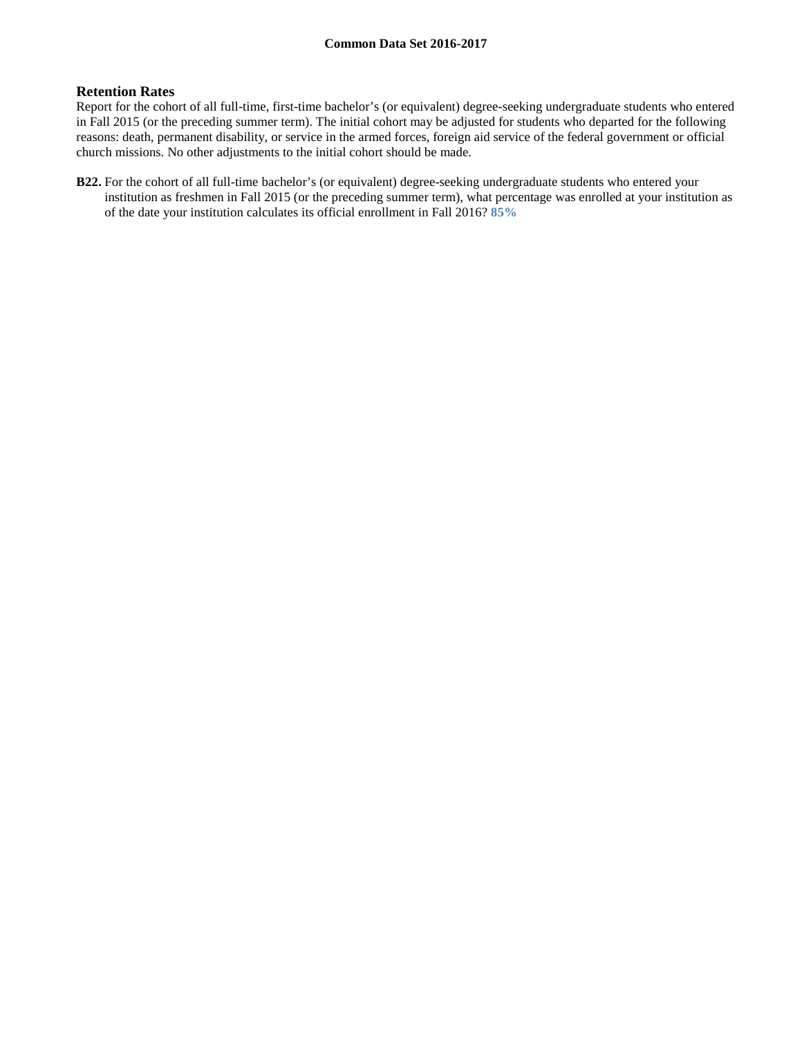### **Retention Rates**

Report for the cohort of all full-time, first-time bachelor's (or equivalent) degree-seeking undergraduate students who entered in Fall 2015 (or the preceding summer term). The initial cohort may be adjusted for students who departed for the following reasons: death, permanent disability, or service in the armed forces, foreign aid service of the federal government or official church missions. No other adjustments to the initial cohort should be made.

**B22.** For the cohort of all full-time bachelor's (or equivalent) degree-seeking undergraduate students who entered your institution as freshmen in Fall 2015 (or the preceding summer term), what percentage was enrolled at your institution as of the date your institution calculates its official enrollment in Fall 2016? **85%**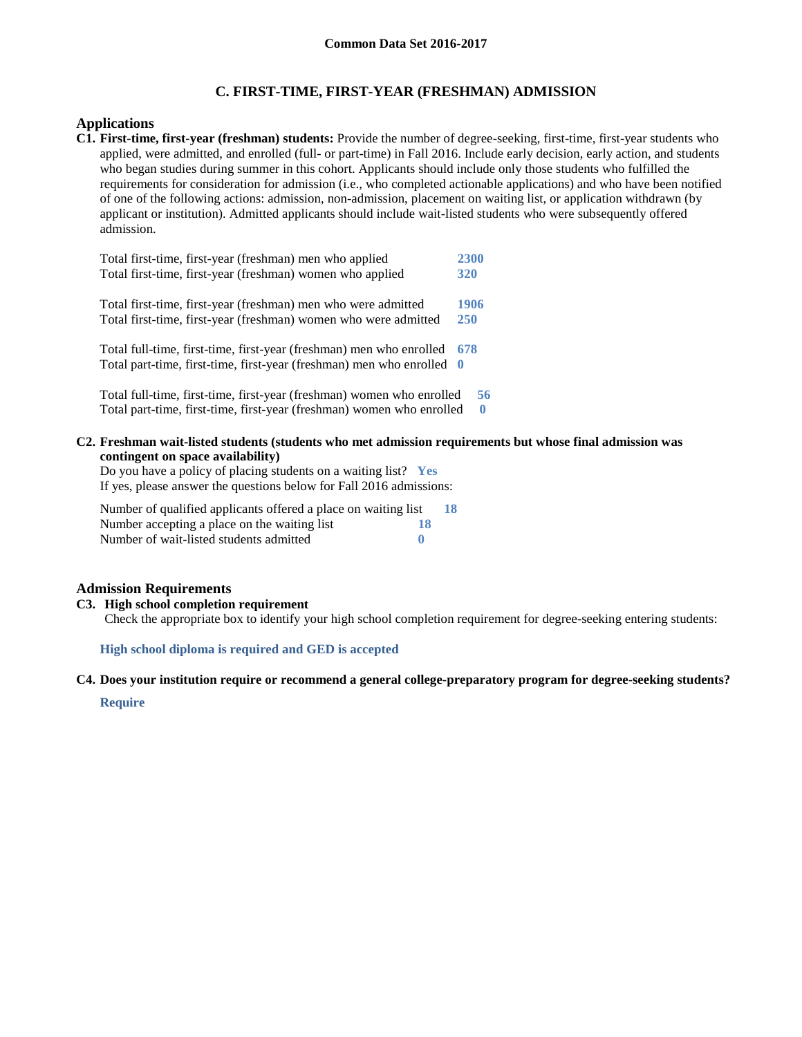# **C. FIRST-TIME, FIRST-YEAR (FRESHMAN) ADMISSION**

# **Applications**

**C1. First-time, first-year (freshman) students:** Provide the number of degree-seeking, first-time, first-year students who applied, were admitted, and enrolled (full- or part-time) in Fall 2016. Include early decision, early action, and students who began studies during summer in this cohort. Applicants should include only those students who fulfilled the requirements for consideration for admission (i.e., who completed actionable applications) and who have been notified of one of the following actions: admission, non-admission, placement on waiting list, or application withdrawn (by applicant or institution). Admitted applicants should include wait-listed students who were subsequently offered admission.

| Total first-time, first-year (freshman) men who applied               | 2300       |
|-----------------------------------------------------------------------|------------|
| Total first-time, first-year (freshman) women who applied             | 320        |
| Total first-time, first-year (freshman) men who were admitted         | 1906       |
| Total first-time, first-year (freshman) women who were admitted       | <b>250</b> |
| Total full-time, first-time, first-year (freshman) men who enrolled   | 678        |
| Total part-time, first-time, first-year (freshman) men who enrolled 0 |            |
| Total full-time, first-time, first-year (freshman) women who enrolled | 56         |
| Total part-time, first-time, first-year (freshman) women who enrolled | $\bf{0}$   |

**C2. Freshman wait-listed students (students who met admission requirements but whose final admission was contingent on space availability)**

Do you have a policy of placing students on a waiting list? **Yes** If yes, please answer the questions below for Fall 2016 admissions:

| Number of qualified applicants offered a place on waiting list | 18 |
|----------------------------------------------------------------|----|
| Number accepting a place on the waiting list<br>18             |    |
| Number of wait-listed students admitted                        |    |

## **Admission Requirements**

### **C3. High school completion requirement**

Check the appropriate box to identify your high school completion requirement for degree-seeking entering students:

**High school diploma is required and GED is accepted**

#### **C4. Does your institution require or recommend a general college-preparatory program for degree-seeking students?**

**Require**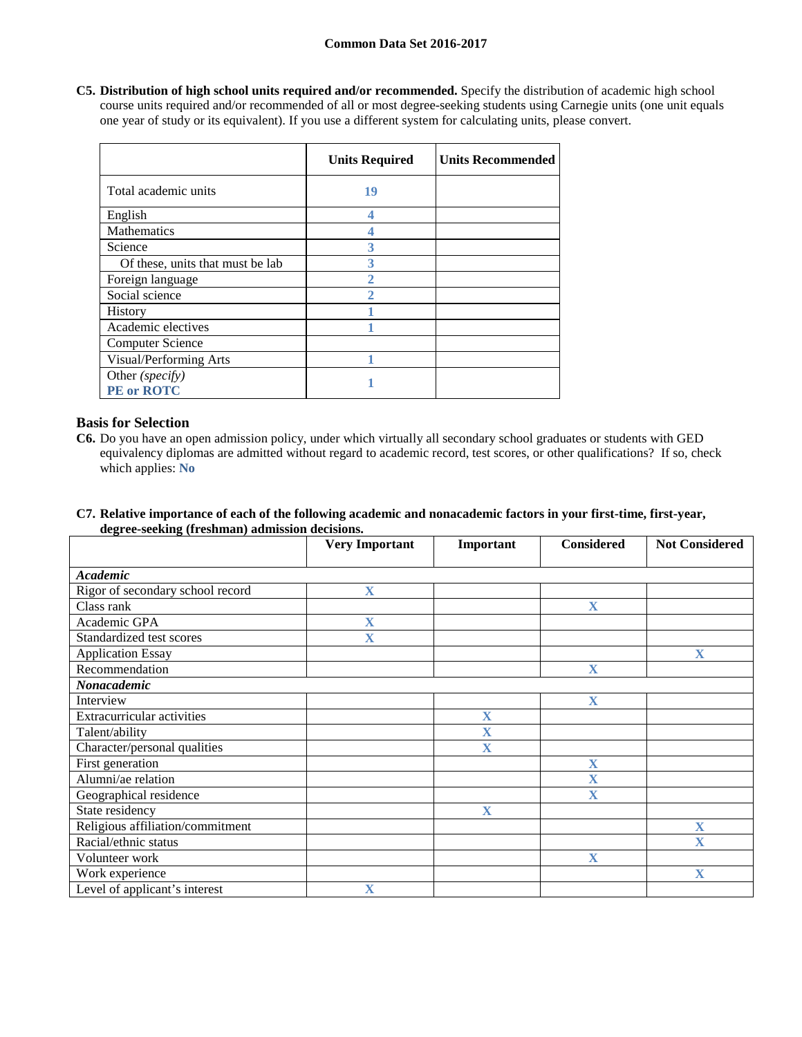**C5. Distribution of high school units required and/or recommended.** Specify the distribution of academic high school course units required and/or recommended of all or most degree-seeking students using Carnegie units (one unit equals one year of study or its equivalent). If you use a different system for calculating units, please convert.

|                                      | <b>Units Required</b> | <b>Units Recommended</b> |
|--------------------------------------|-----------------------|--------------------------|
| Total academic units                 | 19                    |                          |
| English                              |                       |                          |
| Mathematics                          |                       |                          |
| Science                              | 3                     |                          |
| Of these, units that must be lab     | 3                     |                          |
| Foreign language                     |                       |                          |
| Social science                       |                       |                          |
| History                              |                       |                          |
| Academic electives                   |                       |                          |
| <b>Computer Science</b>              |                       |                          |
| Visual/Performing Arts               |                       |                          |
| Other (specify)<br><b>PE</b> or ROTC |                       |                          |

# **Basis for Selection**

- **C6.** Do you have an open admission policy, under which virtually all secondary school graduates or students with GED equivalency diplomas are admitted without regard to academic record, test scores, or other qualifications? If so, check which applies: **No**
- **C7. Relative importance of each of the following academic and nonacademic factors in your first-time, first-year, degree-seeking (freshman) admission decisions.**

|                                   | <b>Very Important</b>   | Important               | <b>Considered</b>       | <b>Not Considered</b>   |
|-----------------------------------|-------------------------|-------------------------|-------------------------|-------------------------|
|                                   |                         |                         |                         |                         |
| <b>Academic</b>                   |                         |                         |                         |                         |
| Rigor of secondary school record  | $\overline{\mathbf{X}}$ |                         |                         |                         |
| Class rank                        |                         |                         | $\mathbf X$             |                         |
| Academic GPA                      | $\overline{\mathbf{X}}$ |                         |                         |                         |
| Standardized test scores          | $\mathbf X$             |                         |                         |                         |
| <b>Application Essay</b>          |                         |                         |                         | $\mathbf X$             |
| Recommendation                    |                         |                         | $\overline{\mathbf{X}}$ |                         |
| Nonacademic                       |                         |                         |                         |                         |
| Interview                         |                         |                         | $\overline{\mathbf{X}}$ |                         |
| <b>Extracurricular activities</b> |                         | $\overline{\mathbf{X}}$ |                         |                         |
| Talent/ability                    |                         | X                       |                         |                         |
| Character/personal qualities      |                         | $\overline{\mathbf{X}}$ |                         |                         |
| First generation                  |                         |                         | $\mathbf X$             |                         |
| Alumni/ae relation                |                         |                         | $\overline{\mathbf{X}}$ |                         |
| Geographical residence            |                         |                         | $\overline{\textbf{X}}$ |                         |
| State residency                   |                         | $\mathbf X$             |                         |                         |
| Religious affiliation/commitment  |                         |                         |                         | X                       |
| Racial/ethnic status              |                         |                         |                         | $\overline{\mathbf{X}}$ |
| Volunteer work                    |                         |                         | $\mathbf{X}$            |                         |
| Work experience                   |                         |                         |                         | $\mathbf X$             |
| Level of applicant's interest     | X                       |                         |                         |                         |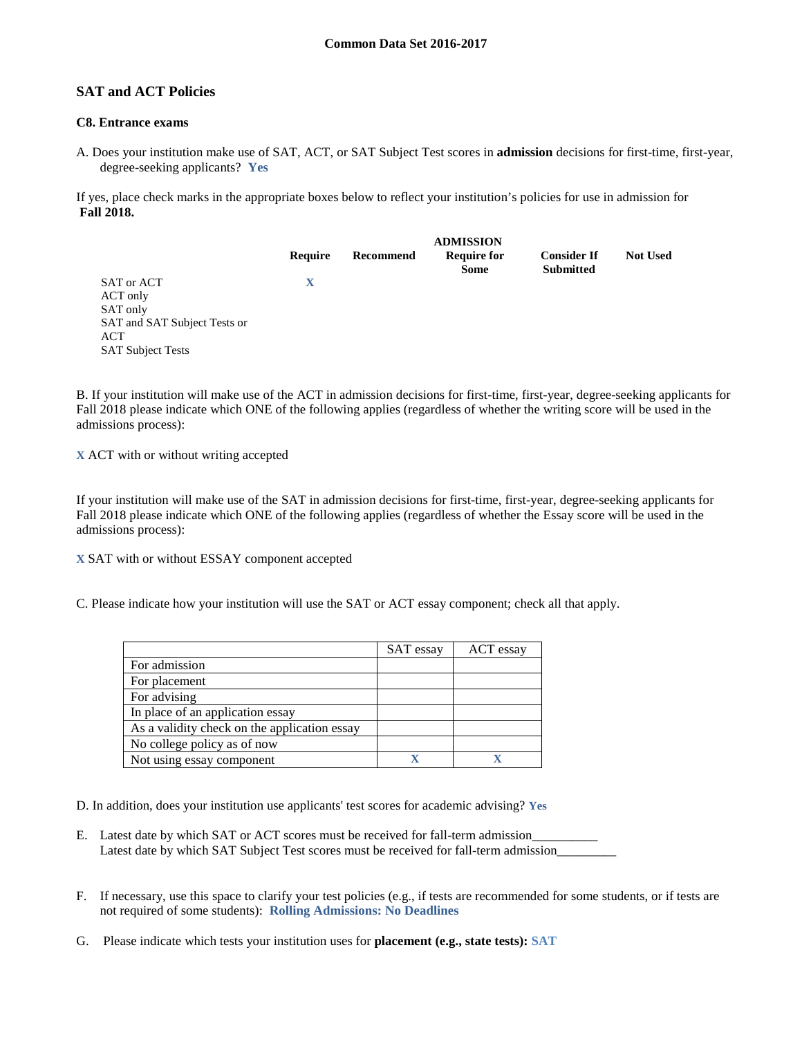# **SAT and ACT Policies**

## **C8. Entrance exams**

A. Does your institution make use of SAT, ACT, or SAT Subject Test scores in **admission** decisions for first-time, first-year, degree-seeking applicants? **Yes**

If yes, place check marks in the appropriate boxes below to reflect your institution's policies for use in admission for **Fall 2018.**

|                                                                                                       | <b>ADMISSION</b> |           |                                   |                                        |                 |
|-------------------------------------------------------------------------------------------------------|------------------|-----------|-----------------------------------|----------------------------------------|-----------------|
|                                                                                                       | Require          | Recommend | <b>Require for</b><br><b>Some</b> | <b>Consider If</b><br><b>Submitted</b> | <b>Not Used</b> |
| SAT or ACT<br>ACT only<br>SAT only<br>SAT and SAT Subject Tests or<br>ACT<br><b>SAT Subject Tests</b> | X                |           |                                   |                                        |                 |

B. If your institution will make use of the ACT in admission decisions for first-time, first-year, degree-seeking applicants for Fall 2018 please indicate which ONE of the following applies (regardless of whether the writing score will be used in the admissions process):

**X** ACT with or without writing accepted

If your institution will make use of the SAT in admission decisions for first-time, first-year, degree-seeking applicants for Fall 2018 please indicate which ONE of the following applies (regardless of whether the Essay score will be used in the admissions process):

**X** SAT with or without ESSAY component accepted

C. Please indicate how your institution will use the SAT or ACT essay component; check all that apply.

|                                              | SAT essay | ACT essay |
|----------------------------------------------|-----------|-----------|
| For admission                                |           |           |
| For placement                                |           |           |
| For advising                                 |           |           |
| In place of an application essay             |           |           |
| As a validity check on the application essay |           |           |
| No college policy as of now                  |           |           |
| Not using essay component                    |           |           |

D. In addition, does your institution use applicants' test scores for academic advising? **Yes**

- E. Latest date by which SAT or ACT scores must be received for fall-term admission\_ Latest date by which SAT Subject Test scores must be received for fall-term admission\_
- F. If necessary, use this space to clarify your test policies (e.g., if tests are recommended for some students, or if tests are not required of some students): **Rolling Admissions: No Deadlines**
- G. Please indicate which tests your institution uses for **placement (e.g., state tests): SAT**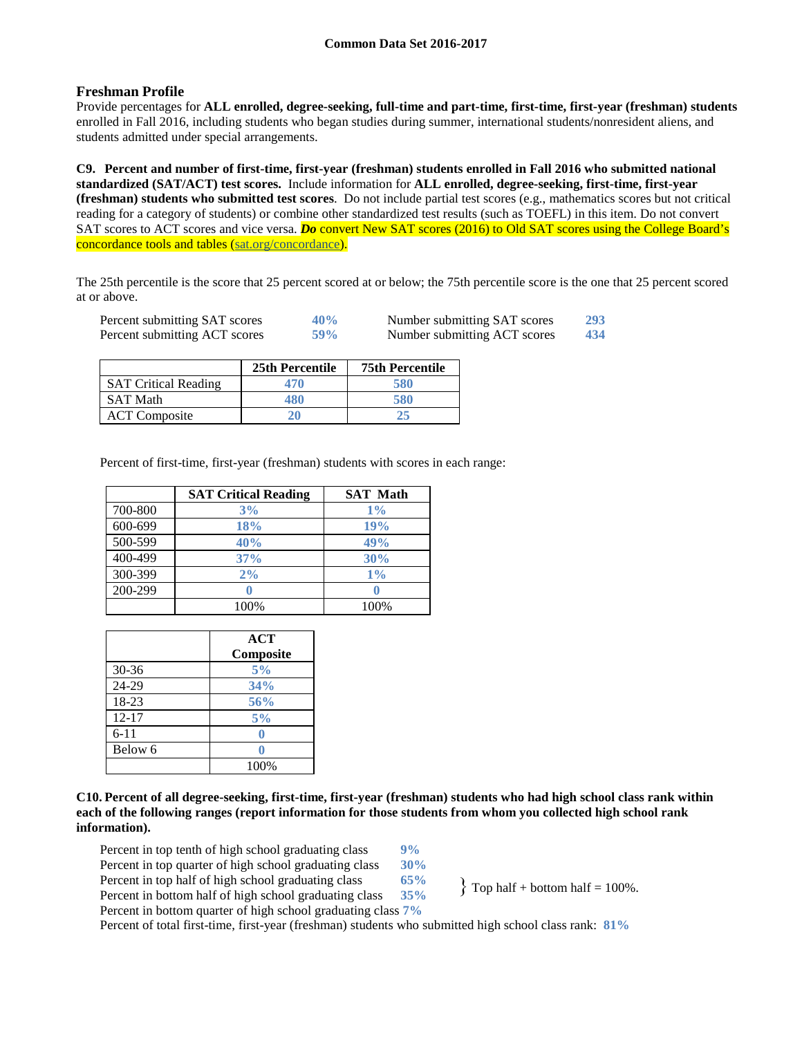# **Freshman Profile**

Provide percentages for **ALL enrolled, degree-seeking, full-time and part-time, first-time, first-year (freshman) students**  enrolled in Fall 2016, including students who began studies during summer, international students/nonresident aliens, and students admitted under special arrangements.

**C9. Percent and number of first-time, first-year (freshman) students enrolled in Fall 2016 who submitted national standardized (SAT/ACT) test scores.** Include information for **ALL enrolled, degree-seeking, first-time, first-year (freshman) students who submitted test scores**. Do not include partial test scores (e.g., mathematics scores but not critical reading for a category of students) or combine other standardized test results (such as TOEFL) in this item. Do not convert SAT scores to ACT scores and vice versa. **Do** convert New SAT scores (2016) to Old SAT scores using the College Board's concordance tools and tables (sat.org/concordance).

The 25th percentile is the score that 25 percent scored at or below; the 75th percentile score is the one that 25 percent scored at or above.

| Percent submitting SAT scores | 40% | Number submitting SAT scores | 293 |
|-------------------------------|-----|------------------------------|-----|
| Percent submitting ACT scores | 59% | Number submitting ACT scores | 434 |

|                             | 25th Percentile | <b>75th Percentile</b> |
|-----------------------------|-----------------|------------------------|
| <b>SAT Critical Reading</b> | 470             | 580                    |
| <b>SAT Math</b>             | 480             | 580                    |
| <b>ACT</b> Composite        | 20              |                        |

Percent of first-time, first-year (freshman) students with scores in each range:

|         | <b>SAT Critical Reading</b> | <b>SAT Math</b> |
|---------|-----------------------------|-----------------|
| 700-800 | 3%                          | $1\%$           |
| 600-699 | <b>18%</b>                  | 19%             |
| 500-599 | 40%                         | 49%             |
| 400-499 | 37%                         | 30%             |
| 300-399 | 2%                          | 1%              |
| 200-299 |                             |                 |
|         | 100%                        | 100%            |

|           | <b>ACT</b> |
|-----------|------------|
|           | Composite  |
| $30 - 36$ | 5%         |
| 24-29     | 34%        |
| 18-23     | 56%        |
| $12 - 17$ | 5%         |
| $6 - 11$  |            |
| Below 6   |            |
|           | 100%       |

**C10. Percent of all degree-seeking, first-time, first-year (freshman) students who had high school class rank within each of the following ranges (report information for those students from whom you collected high school rank information).**

Percent in top tenth of high school graduating class 9%<br>Percent in top quarter of high school graduating class 30% Percent in top quarter of high school graduating class Percent in top half of high school graduating class **65%** Percent in bottom half of high school graduating class **35%** Percent in bottom quarter of high school graduating class **7%**

 $\{$  Top half + bottom half = 100%.

Percent of total first-time, first-year (freshman) students who submitted high school class rank: **81%**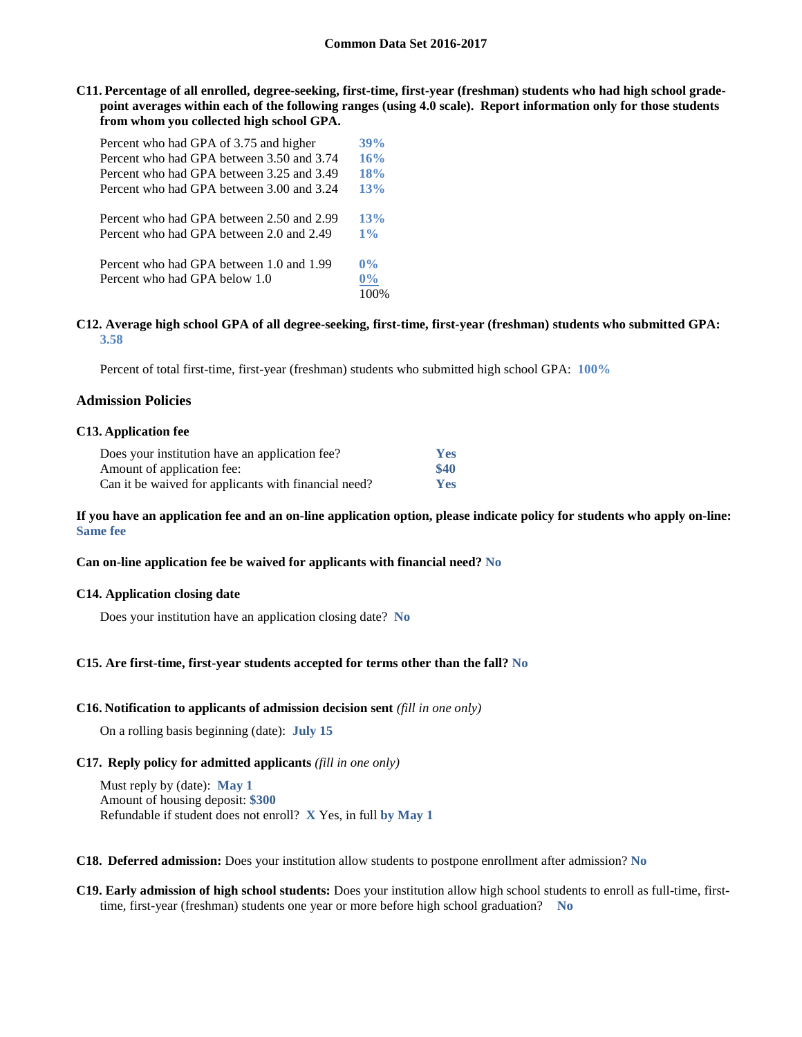**C11. Percentage of all enrolled, degree-seeking, first-time, first-year (freshman) students who had high school gradepoint averages within each of the following ranges (using 4.0 scale). Report information only for those students from whom you collected high school GPA.**

| Percent who had GPA of 3.75 and higher                                    | 39%                   |
|---------------------------------------------------------------------------|-----------------------|
| Percent who had GPA between 3.50 and 3.74                                 | 16%                   |
| Percent who had GPA between 3.25 and 3.49                                 | 18%                   |
| Percent who had GPA between 3.00 and 3.24                                 | 13%                   |
| Percent who had GPA between 2.50 and 2.99                                 | 13%                   |
| Percent who had GPA between 2.0 and 2.49                                  | 1%                    |
| Percent who had GPA between 1.0 and 1.99<br>Percent who had GPA below 1.0 | $0\%$<br>$0\%$<br>100 |

#### **C12. Average high school GPA of all degree-seeking, first-time, first-year (freshman) students who submitted GPA: 3.58**

Percent of total first-time, first-year (freshman) students who submitted high school GPA: **100%**

### **Admission Policies**

#### **C13. Application fee**

| Does your institution have an application fee?       | Yes  |
|------------------------------------------------------|------|
| Amount of application fee:                           | \$40 |
| Can it be waived for applicants with financial need? | Yes  |

#### **If you have an application fee and an on-line application option, please indicate policy for students who apply on-line: Same fee**

#### **Can on-line application fee be waived for applicants with financial need? No**

#### **C14. Application closing date**

Does your institution have an application closing date? **No**

#### **C15. Are first-time, first-year students accepted for terms other than the fall? No**

#### **C16. Notification to applicants of admission decision sent** *(fill in one only)*

On a rolling basis beginning (date): **July 15**

#### **C17. Reply policy for admitted applicants** *(fill in one only)*

Must reply by (date): **May 1** Amount of housing deposit: **\$300** Refundable if student does not enroll? **X** Yes, in full **by May 1**

**C18. Deferred admission:** Does your institution allow students to postpone enrollment after admission? **No**

**C19. Early admission of high school students:** Does your institution allow high school students to enroll as full-time, firsttime, first-year (freshman) students one year or more before high school graduation? **No**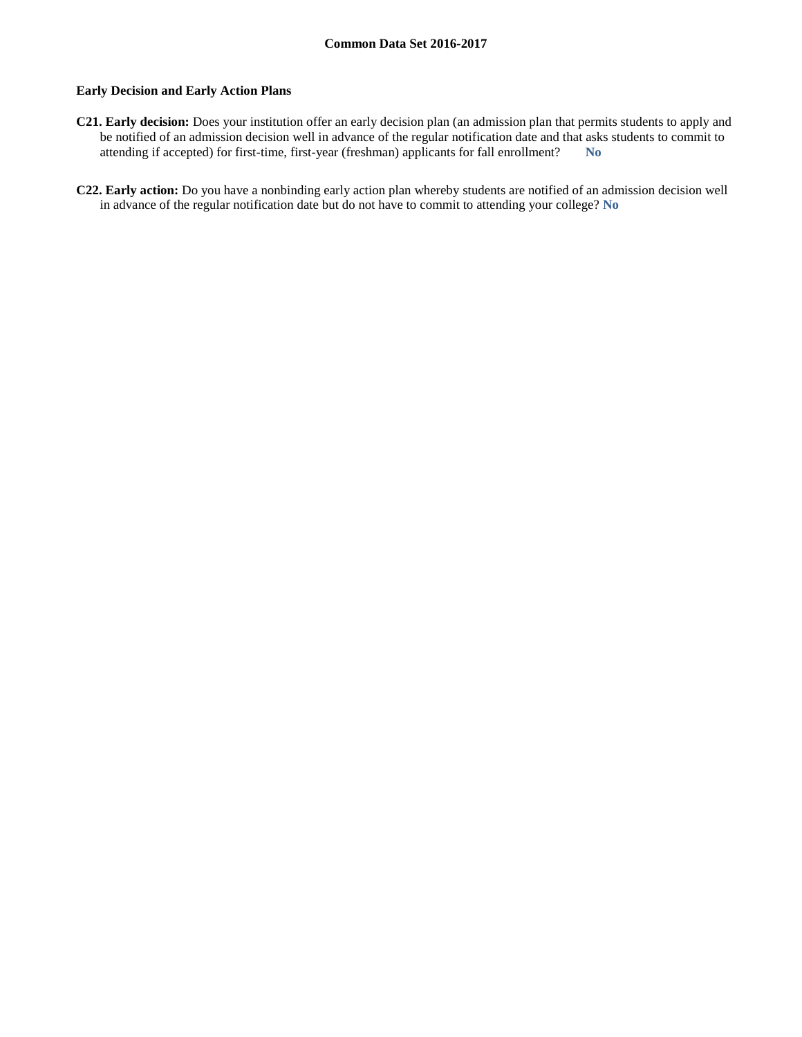### **Early Decision and Early Action Plans**

- **C21. Early decision:** Does your institution offer an early decision plan (an admission plan that permits students to apply and be notified of an admission decision well in advance of the regular notification date and that asks students to commit to attending if accepted) for first-time, first-year (freshman) applicants for fall enrollment? **No**
- **C22. Early action:** Do you have a nonbinding early action plan whereby students are notified of an admission decision well in advance of the regular notification date but do not have to commit to attending your college? **No**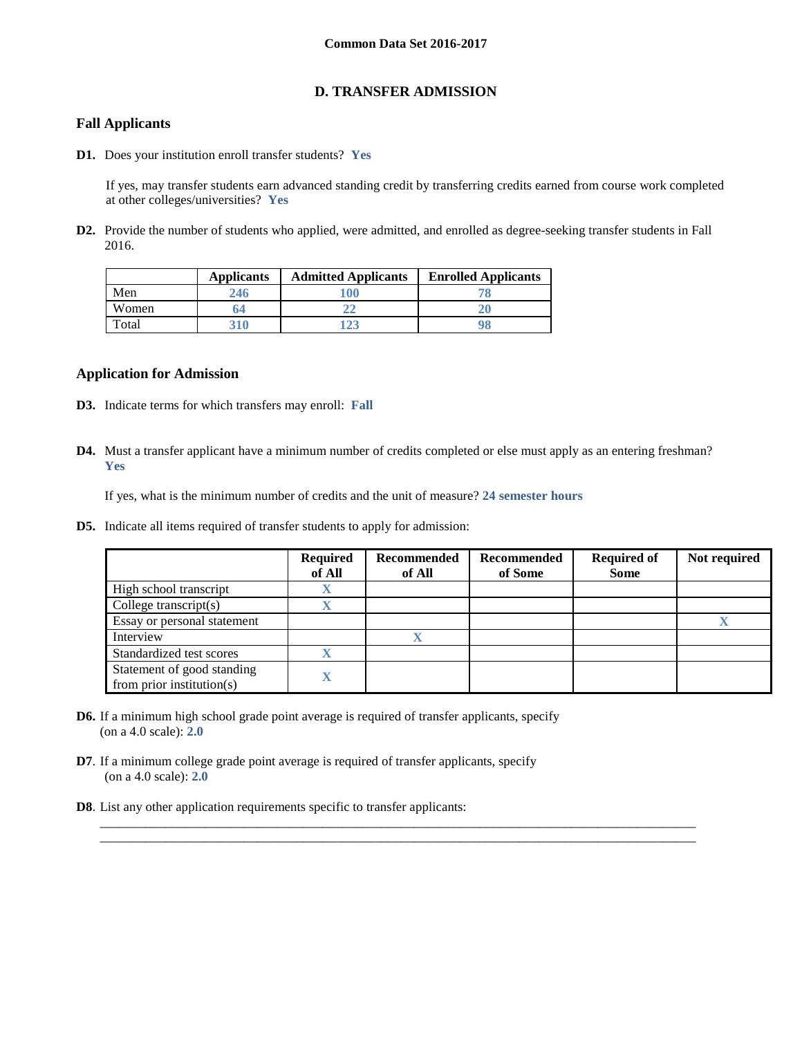# **D. TRANSFER ADMISSION**

# **Fall Applicants**

**D1.** Does your institution enroll transfer students? **Yes**

If yes, may transfer students earn advanced standing credit by transferring credits earned from course work completed at other colleges/universities? **Yes**

**D2.** Provide the number of students who applied, were admitted, and enrolled as degree-seeking transfer students in Fall 2016.

|       | <b>Applicants</b> | <b>Admitted Applicants</b> | <b>Enrolled Applicants</b> |
|-------|-------------------|----------------------------|----------------------------|
| Men   |                   | 100                        |                            |
| Women | h4                |                            |                            |
| Total | 31 A              |                            |                            |

### **Application for Admission**

- **D3.** Indicate terms for which transfers may enroll: **Fall**
- **D4.** Must a transfer applicant have a minimum number of credits completed or else must apply as an entering freshman? **Yes**

\_\_\_\_\_\_\_\_\_\_\_\_\_\_\_\_\_\_\_\_\_\_\_\_\_\_\_\_\_\_\_\_\_\_\_\_\_\_\_\_\_\_\_\_\_\_\_\_\_\_\_\_\_\_\_\_\_\_\_\_\_\_\_\_\_\_\_\_\_\_\_\_\_\_\_\_\_\_\_\_\_\_\_\_\_\_\_\_\_\_\_ \_\_\_\_\_\_\_\_\_\_\_\_\_\_\_\_\_\_\_\_\_\_\_\_\_\_\_\_\_\_\_\_\_\_\_\_\_\_\_\_\_\_\_\_\_\_\_\_\_\_\_\_\_\_\_\_\_\_\_\_\_\_\_\_\_\_\_\_\_\_\_\_\_\_\_\_\_\_\_\_\_\_\_\_\_\_\_\_\_\_\_

If yes, what is the minimum number of credits and the unit of measure? **24 semester hours**

**D5.** Indicate all items required of transfer students to apply for admission:

|                                                         | <b>Required</b><br>of All | Recommended<br>of All | Recommended<br>of Some | <b>Required of</b><br><b>Some</b> | Not required |
|---------------------------------------------------------|---------------------------|-----------------------|------------------------|-----------------------------------|--------------|
| High school transcript                                  |                           |                       |                        |                                   |              |
| College transcript $(s)$                                |                           |                       |                        |                                   |              |
| Essay or personal statement                             |                           |                       |                        |                                   |              |
| Interview                                               |                           |                       |                        |                                   |              |
| Standardized test scores                                |                           |                       |                        |                                   |              |
| Statement of good standing<br>from prior institution(s) |                           |                       |                        |                                   |              |

- **D6.** If a minimum high school grade point average is required of transfer applicants, specify (on a 4.0 scale): **2.0**
- **D7**. If a minimum college grade point average is required of transfer applicants, specify (on a 4.0 scale): **2.0**
- **D8**. List any other application requirements specific to transfer applicants: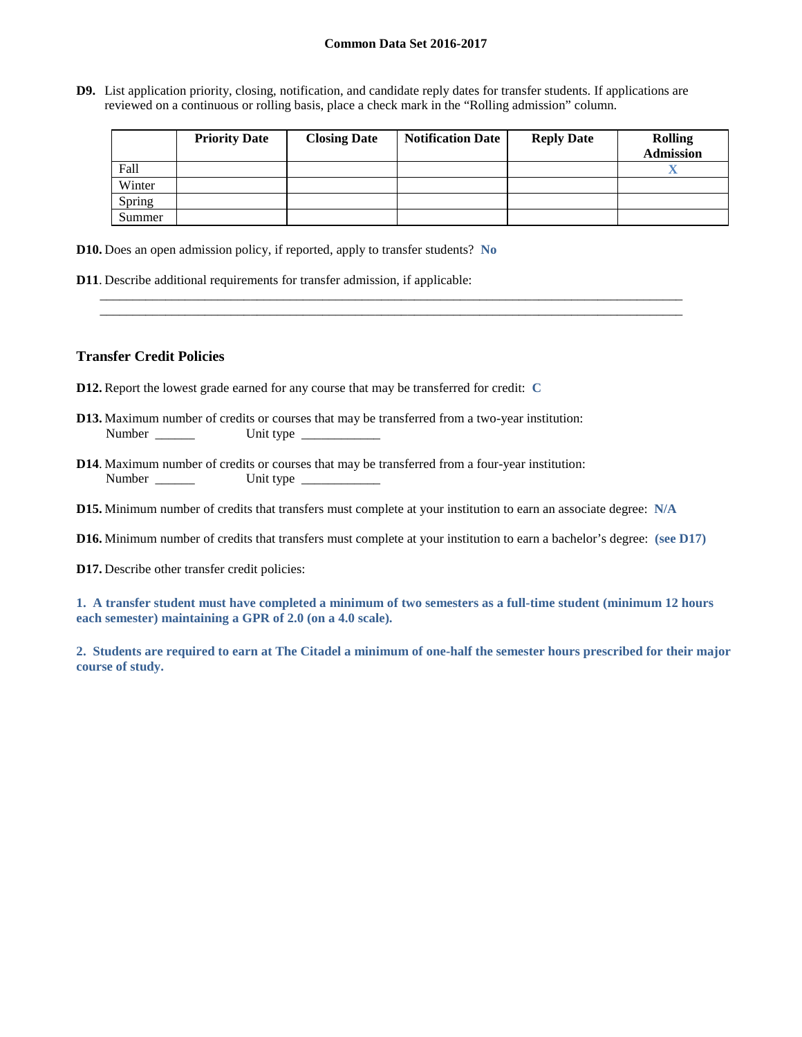**D9.** List application priority, closing, notification, and candidate reply dates for transfer students. If applications are reviewed on a continuous or rolling basis, place a check mark in the "Rolling admission" column.

\_\_\_\_\_\_\_\_\_\_\_\_\_\_\_\_\_\_\_\_\_\_\_\_\_\_\_\_\_\_\_\_\_\_\_\_\_\_\_\_\_\_\_\_\_\_\_\_\_\_\_\_\_\_\_\_\_\_\_\_\_\_\_\_\_\_\_\_\_\_\_\_\_\_\_\_\_\_\_\_\_\_\_\_\_\_\_\_\_ \_\_\_\_\_\_\_\_\_\_\_\_\_\_\_\_\_\_\_\_\_\_\_\_\_\_\_\_\_\_\_\_\_\_\_\_\_\_\_\_\_\_\_\_\_\_\_\_\_\_\_\_\_\_\_\_\_\_\_\_\_\_\_\_\_\_\_\_\_\_\_\_\_\_\_\_\_\_\_\_\_\_\_\_\_\_\_\_\_

|        | <b>Priority Date</b> | <b>Closing Date</b> | <b>Notification Date</b> | <b>Reply Date</b> | <b>Rolling</b><br><b>Admission</b> |
|--------|----------------------|---------------------|--------------------------|-------------------|------------------------------------|
| Fall   |                      |                     |                          |                   | zв                                 |
| Winter |                      |                     |                          |                   |                                    |
| Spring |                      |                     |                          |                   |                                    |
| Summer |                      |                     |                          |                   |                                    |

**D10.** Does an open admission policy, if reported, apply to transfer students? **No**

**D11**. Describe additional requirements for transfer admission, if applicable:

### **Transfer Credit Policies**

- **D12.** Report the lowest grade earned for any course that may be transferred for credit: **C**
- **D13.** Maximum number of credits or courses that may be transferred from a two-year institution: Number \_\_\_\_\_\_ Unit type \_\_\_\_\_\_\_\_\_\_\_\_
- **D14**. Maximum number of credits or courses that may be transferred from a four-year institution: Number \_\_\_\_\_\_ Unit type \_\_\_\_\_\_\_\_\_\_\_\_
- **D15.** Minimum number of credits that transfers must complete at your institution to earn an associate degree: **N/A**
- **D16.** Minimum number of credits that transfers must complete at your institution to earn a bachelor's degree: **(see D17)**
- **D17.** Describe other transfer credit policies:

**1. A transfer student must have completed a minimum of two semesters as a full-time student (minimum 12 hours each semester) maintaining a GPR of 2.0 (on a 4.0 scale).**

**2. Students are required to earn at The Citadel a minimum of one-half the semester hours prescribed for their major course of study.**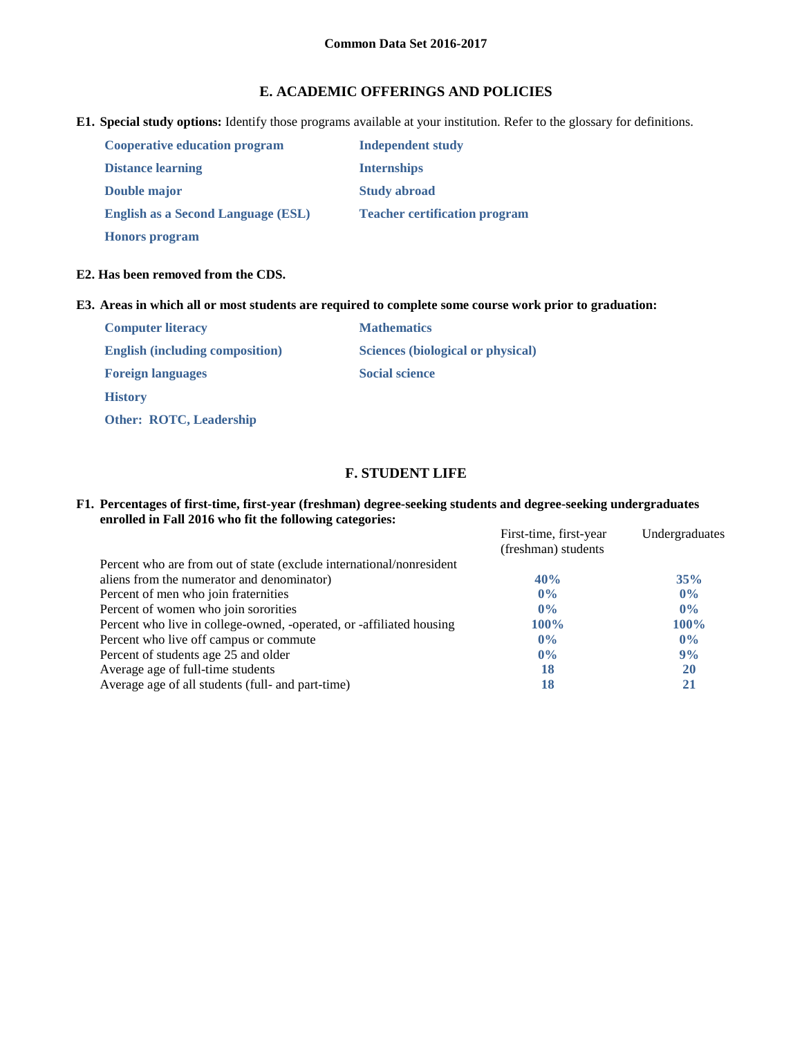# **E. ACADEMIC OFFERINGS AND POLICIES**

**E1. Special study options:** Identify those programs available at your institution. Refer to the glossary for definitions.

| <b>Cooperative education program</b>      | <b>Independent study</b>             |
|-------------------------------------------|--------------------------------------|
| <b>Distance learning</b>                  | <b>Internships</b>                   |
| Double major                              | <b>Study abroad</b>                  |
| <b>English as a Second Language (ESL)</b> | <b>Teacher certification program</b> |
| <b>Honors</b> program                     |                                      |

# **E2. Has been removed from the CDS.**

## **E3. Areas in which all or most students are required to complete some course work prior to graduation:**

| <b>Computer literacy</b>               | <b>Mathematics</b>                       |
|----------------------------------------|------------------------------------------|
| <b>English (including composition)</b> | <b>Sciences (biological or physical)</b> |
| <b>Foreign languages</b>               | <b>Social science</b>                    |
| <b>History</b>                         |                                          |
| <b>Other: ROTC, Leadership</b>         |                                          |

# **F. STUDENT LIFE**

### **F1. Percentages of first-time, first-year (freshman) degree-seeking students and degree-seeking undergraduates enrolled in Fall 2016 who fit the following categories:**

|                                                                      | First-time, first-year<br>(freshman) students | Undergraduates |
|----------------------------------------------------------------------|-----------------------------------------------|----------------|
| Percent who are from out of state (exclude international/nonresident |                                               |                |
| aliens from the numerator and denominator)                           | 40%                                           | 35%            |
| Percent of men who join fraternities                                 | $0\%$                                         | $0\%$          |
| Percent of women who join sororities                                 | $0\%$                                         | $0\%$          |
| Percent who live in college-owned, -operated, or -affiliated housing | $100\%$                                       | $100\%$        |
| Percent who live off campus or commute                               | $0\%$                                         | $0\%$          |
| Percent of students age 25 and older                                 | $0\%$                                         | 9%             |
| Average age of full-time students                                    | 18                                            | <b>20</b>      |
| Average age of all students (full- and part-time)                    | 18                                            | 21             |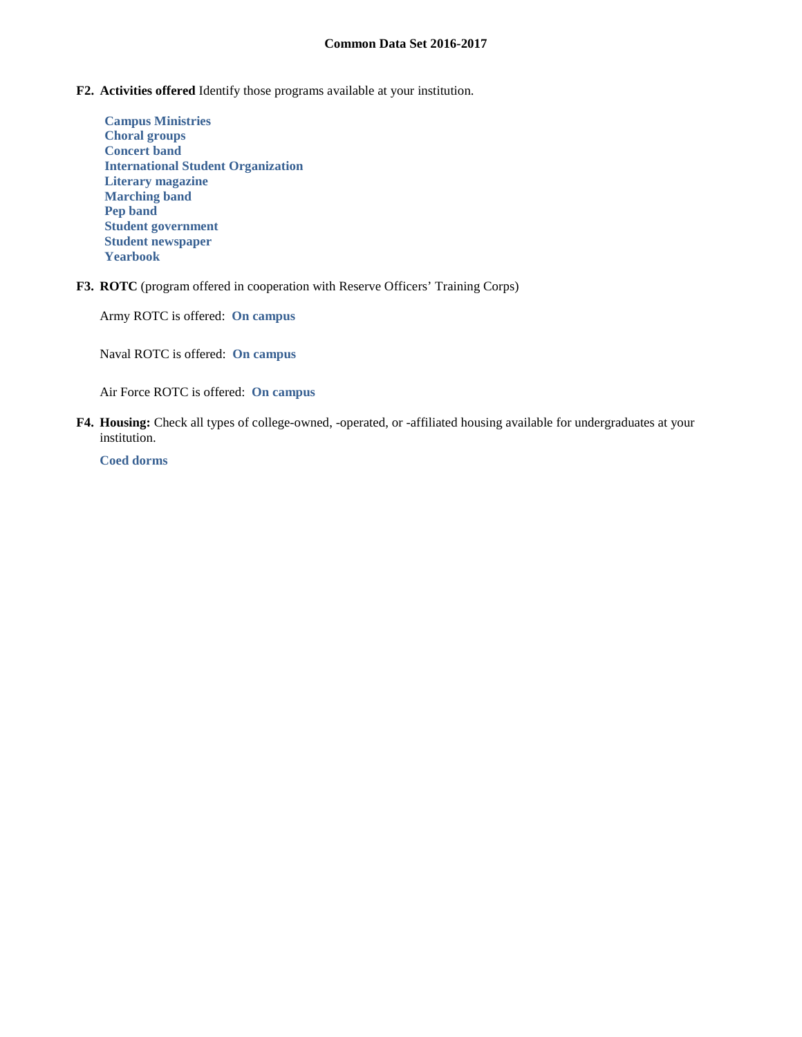- **F2. Activities offered** Identify those programs available at your institution.
	- **Campus Ministries Choral groups Concert band International Student Organization Literary magazine Marching band Pep band Student government Student newspaper Yearbook**
- **F3. ROTC** (program offered in cooperation with Reserve Officers' Training Corps)

Army ROTC is offered: **On campus**

Naval ROTC is offered: **On campus**

Air Force ROTC is offered: **On campus**

**F4. Housing:** Check all types of college-owned, -operated, or -affiliated housing available for undergraduates at your institution.

**Coed dorms**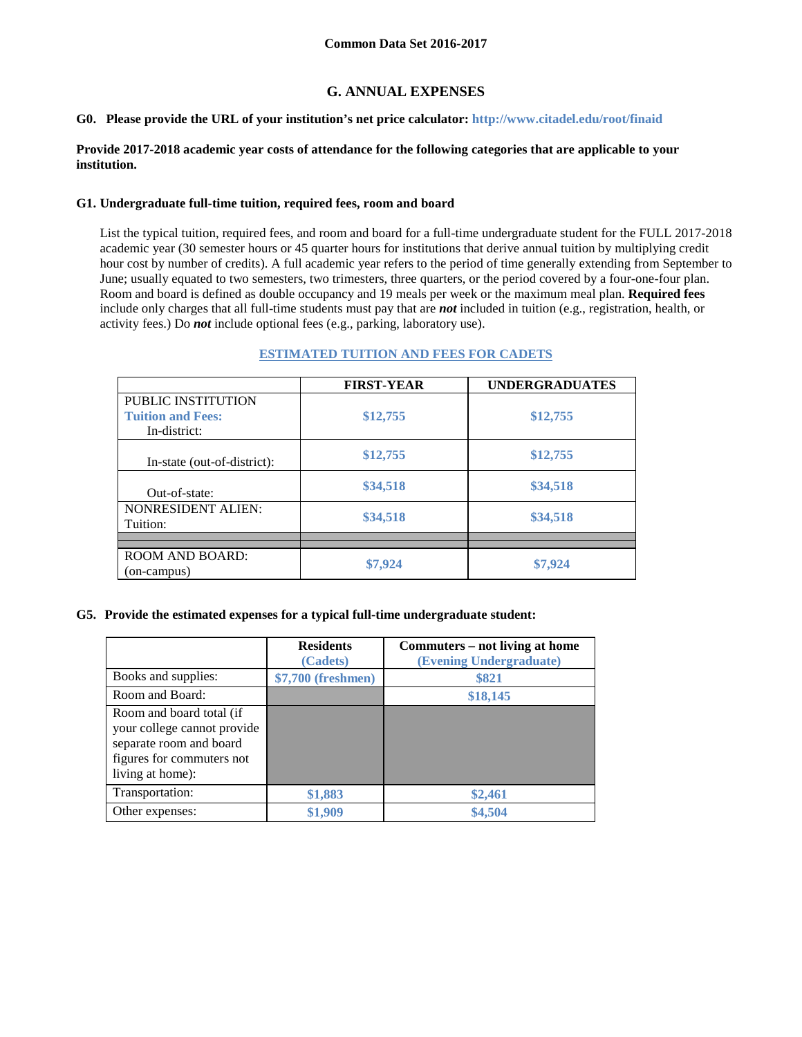# **G. ANNUAL EXPENSES**

#### **G0. Please provide the URL of your institution's net price calculator: http://www.citadel.edu/root/finaid**

### **Provide 2017-2018 academic year costs of attendance for the following categories that are applicable to your institution.**

#### **G1. Undergraduate full-time tuition, required fees, room and board**

List the typical tuition, required fees, and room and board for a full-time undergraduate student for the FULL 2017-2018 academic year (30 semester hours or 45 quarter hours for institutions that derive annual tuition by multiplying credit hour cost by number of credits). A full academic year refers to the period of time generally extending from September to June; usually equated to two semesters, two trimesters, three quarters, or the period covered by a four-one-four plan. Room and board is defined as double occupancy and 19 meals per week or the maximum meal plan. **Required fees** include only charges that all full-time students must pay that are *not* included in tuition (e.g., registration, health, or activity fees.) Do *not* include optional fees (e.g., parking, laboratory use).

### **ESTIMATED TUITION AND FEES FOR CADETS**

|                             | <b>FIRST-YEAR</b> | <b>UNDERGRADUATES</b> |
|-----------------------------|-------------------|-----------------------|
| PUBLIC INSTITUTION          |                   |                       |
| <b>Tuition and Fees:</b>    | \$12,755          | \$12,755              |
| In-district:                |                   |                       |
|                             | \$12,755          | \$12,755              |
| In-state (out-of-district): |                   |                       |
|                             | \$34,518          | \$34,518              |
| Out-of-state:               |                   |                       |
| <b>NONRESIDENT ALIEN:</b>   |                   |                       |
| Tuition:                    | \$34,518          | \$34,518              |
|                             |                   |                       |
| <b>ROOM AND BOARD:</b>      |                   |                       |
|                             | \$7,924           | \$7,924               |
| (on-campus)                 |                   |                       |

#### **G5. Provide the estimated expenses for a typical full-time undergraduate student:**

|                                                                                                                                     | <b>Residents</b><br>(Cadets) | Commuters – not living at home<br>(Evening Undergraduate) |
|-------------------------------------------------------------------------------------------------------------------------------------|------------------------------|-----------------------------------------------------------|
| Books and supplies:                                                                                                                 | \$7,700 (freshmen)           | \$821                                                     |
| Room and Board:                                                                                                                     |                              | \$18,145                                                  |
| Room and board total (if<br>your college cannot provide<br>separate room and board<br>figures for commuters not<br>living at home): |                              |                                                           |
| Transportation:                                                                                                                     | \$1,883                      | \$2,461                                                   |
| Other expenses:                                                                                                                     | \$1,909                      | \$4,504                                                   |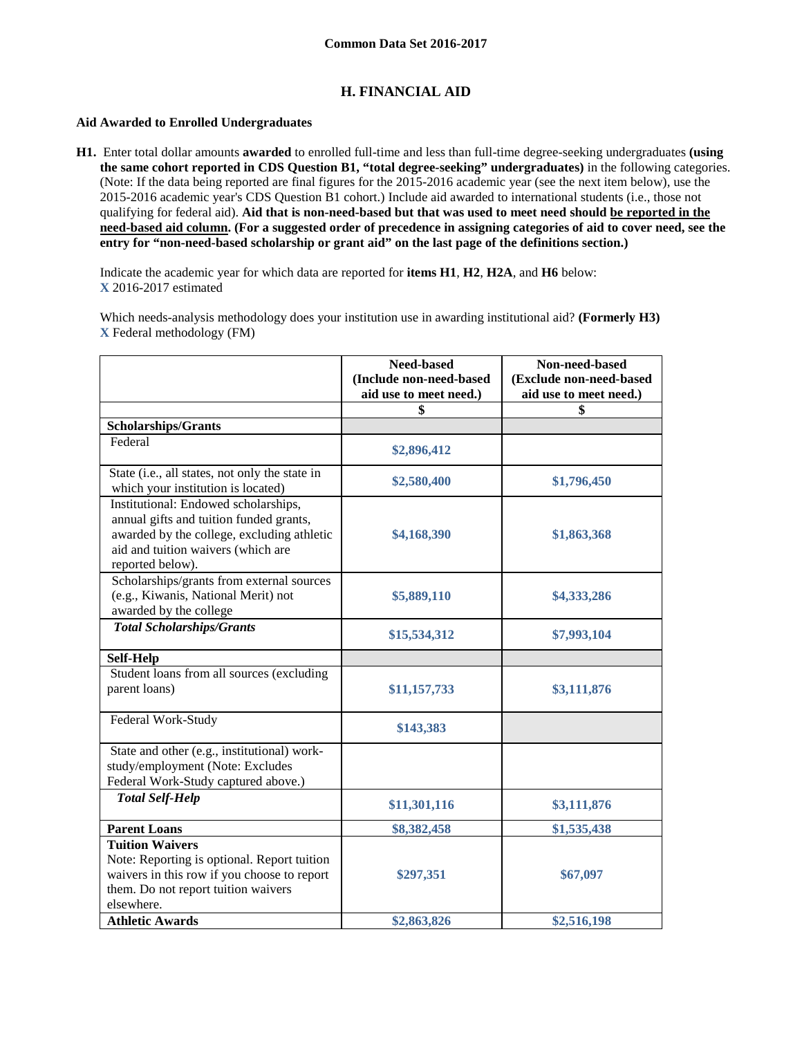# **H. FINANCIAL AID**

### **Aid Awarded to Enrolled Undergraduates**

**H1.** Enter total dollar amounts **awarded** to enrolled full-time and less than full-time degree-seeking undergraduates **(using the same cohort reported in CDS Question B1, "total degree-seeking" undergraduates)** in the following categories. (Note: If the data being reported are final figures for the 2015-2016 academic year (see the next item below), use the 2015-2016 academic year's CDS Question B1 cohort.) Include aid awarded to international students (i.e., those not qualifying for federal aid). **Aid that is non-need-based but that was used to meet need should be reported in the need-based aid column. (For a suggested order of precedence in assigning categories of aid to cover need, see the entry for "non-need-based scholarship or grant aid" on the last page of the definitions section.)**

Indicate the academic year for which data are reported for **items H1**, **H2**, **H2A**, and **H6** below: **X** 2016-2017 estimated

Which needs-analysis methodology does your institution use in awarding institutional aid? **(Formerly H3) X** Federal methodology (FM)

|                                                                                                                                                                                         | Need-based<br>(Include non-need-based | Non-need-based<br>(Exclude non-need-based |
|-----------------------------------------------------------------------------------------------------------------------------------------------------------------------------------------|---------------------------------------|-------------------------------------------|
|                                                                                                                                                                                         | aid use to meet need.)                | aid use to meet need.)                    |
|                                                                                                                                                                                         | \$                                    | S                                         |
| Scholarships/Grants                                                                                                                                                                     |                                       |                                           |
| Federal                                                                                                                                                                                 | \$2,896,412                           |                                           |
| State (i.e., all states, not only the state in<br>which your institution is located)                                                                                                    | \$2,580,400                           | \$1,796,450                               |
| Institutional: Endowed scholarships,<br>annual gifts and tuition funded grants,<br>awarded by the college, excluding athletic<br>aid and tuition waivers (which are<br>reported below). | \$4,168,390                           | \$1,863,368                               |
| Scholarships/grants from external sources<br>(e.g., Kiwanis, National Merit) not<br>awarded by the college                                                                              | \$5,889,110                           | \$4,333,286                               |
| <b>Total Scholarships/Grants</b>                                                                                                                                                        | \$15,534,312                          | \$7,993,104                               |
| <b>Self-Help</b>                                                                                                                                                                        |                                       |                                           |
| Student loans from all sources (excluding<br>parent loans)                                                                                                                              | \$11,157,733                          | \$3,111,876                               |
| Federal Work-Study                                                                                                                                                                      | \$143,383                             |                                           |
| State and other (e.g., institutional) work-<br>study/employment (Note: Excludes<br>Federal Work-Study captured above.)                                                                  |                                       |                                           |
| <b>Total Self-Help</b>                                                                                                                                                                  | \$11,301,116                          | \$3,111,876                               |
| <b>Parent Loans</b>                                                                                                                                                                     | \$8,382,458                           | \$1,535,438                               |
| <b>Tuition Waivers</b><br>Note: Reporting is optional. Report tuition<br>waivers in this row if you choose to report<br>them. Do not report tuition waivers<br>elsewhere.               | \$297,351                             | \$67,097                                  |
| <b>Athletic Awards</b>                                                                                                                                                                  | \$2,863,826                           | \$2,516,198                               |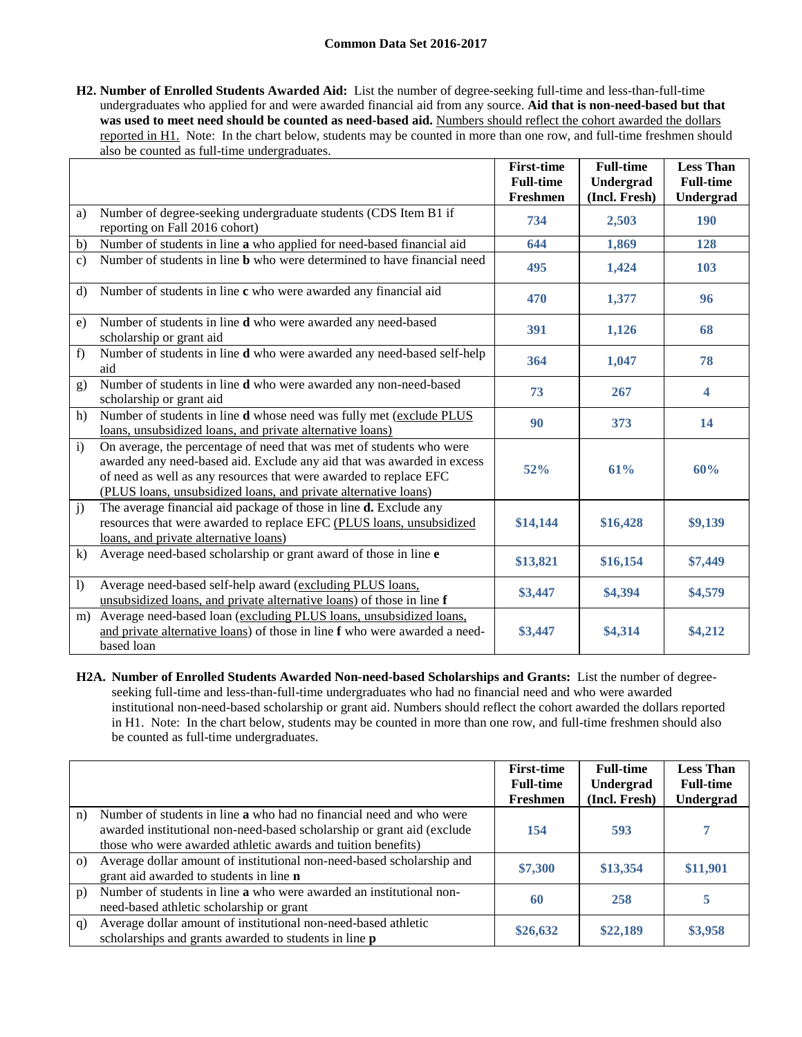**H2. Number of Enrolled Students Awarded Aid:** List the number of degree-seeking full-time and less-than-full-time undergraduates who applied for and were awarded financial aid from any source. **Aid that is non-need-based but that**  was used to meet need should be counted as need-based aid. Numbers should reflect the cohort awarded the dollars reported in H1. Note: In the chart below, students may be counted in more than one row, and full-time freshmen should also be counted as full-time undergraduates.

|                |                                                                                                                                                                                                                                                                                        | <b>First-time</b><br><b>Full-time</b><br><b>Freshmen</b> | <b>Full-time</b><br>Undergrad<br>(Incl. Fresh) | <b>Less Than</b><br><b>Full-time</b> |
|----------------|----------------------------------------------------------------------------------------------------------------------------------------------------------------------------------------------------------------------------------------------------------------------------------------|----------------------------------------------------------|------------------------------------------------|--------------------------------------|
| a)             | Number of degree-seeking undergraduate students (CDS Item B1 if<br>reporting on Fall 2016 cohort)                                                                                                                                                                                      | 734                                                      | 2,503                                          | Undergrad<br><b>190</b>              |
| b)             | Number of students in line a who applied for need-based financial aid                                                                                                                                                                                                                  | 644                                                      | 1,869                                          | 128                                  |
| $\mathbf{c}$ ) | Number of students in line <b>b</b> who were determined to have financial need                                                                                                                                                                                                         | 495                                                      | 1,424                                          | 103                                  |
| $\mathbf{d}$   | Number of students in line c who were awarded any financial aid                                                                                                                                                                                                                        | 470                                                      | 1,377                                          | 96                                   |
| e)             | Number of students in line d who were awarded any need-based<br>scholarship or grant aid                                                                                                                                                                                               | 391                                                      | 1,126                                          | 68                                   |
| f              | Number of students in line d who were awarded any need-based self-help<br>aid                                                                                                                                                                                                          | 364                                                      | 1,047                                          | 78                                   |
| g)             | Number of students in line d who were awarded any non-need-based<br>scholarship or grant aid                                                                                                                                                                                           | 73                                                       | 267                                            | $\overline{\mathbf{4}}$              |
| h)             | Number of students in line <b>d</b> whose need was fully met (exclude PLUS<br>loans, unsubsidized loans, and private alternative loans)                                                                                                                                                | 90                                                       | 373                                            | 14                                   |
| $\mathbf{i}$   | On average, the percentage of need that was met of students who were<br>awarded any need-based aid. Exclude any aid that was awarded in excess<br>of need as well as any resources that were awarded to replace EFC<br>(PLUS loans, unsubsidized loans, and private alternative loans) | 52%                                                      | 61%                                            | 60%                                  |
| j)             | The average financial aid package of those in line <b>d.</b> Exclude any<br>resources that were awarded to replace EFC (PLUS loans, unsubsidized<br>loans, and private alternative loans)                                                                                              | \$14,144                                                 | \$16,428                                       | \$9,139                              |
| $\bf k$ )      | Average need-based scholarship or grant award of those in line e                                                                                                                                                                                                                       | \$13,821                                                 | \$16,154                                       | \$7,449                              |
| $\mathbf{I}$   | Average need-based self-help award (excluding PLUS loans,<br>unsubsidized loans, and private alternative loans) of those in line f                                                                                                                                                     | \$3,447                                                  | \$4,394                                        | \$4,579                              |
| m)             | Average need-based loan (excluding PLUS loans, unsubsidized loans,<br>and private alternative loans) of those in line f who were awarded a need-<br>based loan                                                                                                                         | \$3,447                                                  | \$4,314                                        | \$4,212                              |

**H2A. Number of Enrolled Students Awarded Non-need-based Scholarships and Grants:** List the number of degreeseeking full-time and less-than-full-time undergraduates who had no financial need and who were awarded institutional non-need-based scholarship or grant aid. Numbers should reflect the cohort awarded the dollars reported in H1. Note: In the chart below, students may be counted in more than one row, and full-time freshmen should also be counted as full-time undergraduates.

|          |                                                                                                                                                                                                                      | <b>First-time</b><br><b>Full-time</b> | <b>Full-time</b><br>Undergrad | <b>Less Than</b><br><b>Full-time</b> |
|----------|----------------------------------------------------------------------------------------------------------------------------------------------------------------------------------------------------------------------|---------------------------------------|-------------------------------|--------------------------------------|
|          |                                                                                                                                                                                                                      | Freshmen                              | (Incl. Fresh)                 | Undergrad                            |
| n)       | Number of students in line <b>a</b> who had no financial need and who were<br>awarded institutional non-need-based scholarship or grant aid (exclude<br>those who were awarded athletic awards and tuition benefits) | 154                                   | 593                           |                                      |
| $\Omega$ | Average dollar amount of institutional non-need-based scholarship and<br>grant aid awarded to students in line <b>n</b>                                                                                              | \$7,300                               | \$13,354                      | \$11,901                             |
| p)       | Number of students in line a who were awarded an institutional non-<br>need-based athletic scholarship or grant                                                                                                      | 60                                    | 258                           |                                      |
| q)       | Average dollar amount of institutional non-need-based athletic<br>scholarships and grants awarded to students in line p                                                                                              | \$26,632                              | \$22,189                      | \$3,958                              |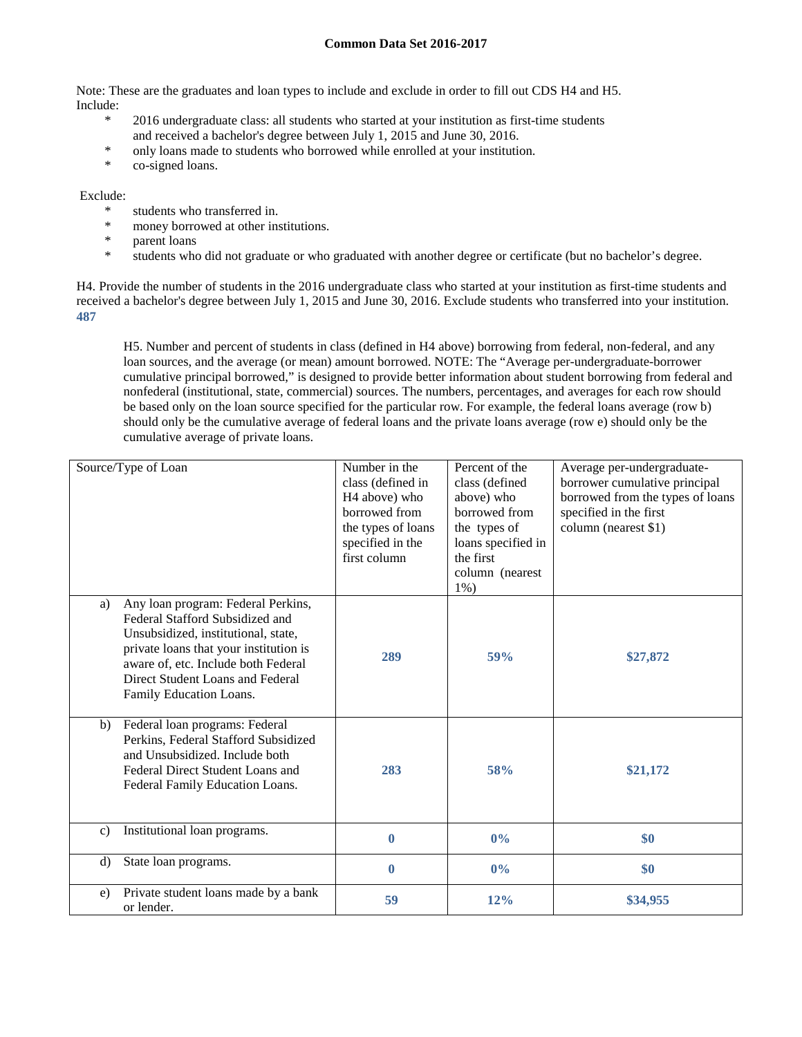Note: These are the graduates and loan types to include and exclude in order to fill out CDS H4 and H5. Include:

- \* 2016 undergraduate class: all students who started at your institution as first-time students and received a bachelor's degree between July 1, 2015 and June 30, 2016.
- \* only loans made to students who borrowed while enrolled at your institution.
- co-signed loans.

### Exclude:

- \* students who transferred in.<br>\* money borrowed at other in
- \* money borrowed at other institutions.<br>\* parent loans
- parent loans
- \* students who did not graduate or who graduated with another degree or certificate (but no bachelor's degree.

H4. Provide the number of students in the 2016 undergraduate class who started at your institution as first-time students and received a bachelor's degree between July 1, 2015 and June 30, 2016. Exclude students who transferred into your institution. **487**

H5. Number and percent of students in class (defined in H4 above) borrowing from federal, non-federal, and any loan sources, and the average (or mean) amount borrowed. NOTE: The "Average per-undergraduate-borrower cumulative principal borrowed," is designed to provide better information about student borrowing from federal and nonfederal (institutional, state, commercial) sources. The numbers, percentages, and averages for each row should be based only on the loan source specified for the particular row. For example, the federal loans average (row b) should only be the cumulative average of federal loans and the private loans average (row e) should only be the cumulative average of private loans.

| Source/Type of Loan                                                                                                                                                                                                                                                | Number in the<br>class (defined in<br>H <sub>4</sub> above) who<br>borrowed from<br>the types of loans<br>specified in the<br>first column | Percent of the<br>class (defined<br>above) who<br>borrowed from<br>the types of<br>loans specified in<br>the first<br>column (nearest<br>$1\%$ ) | Average per-undergraduate-<br>borrower cumulative principal<br>borrowed from the types of loans<br>specified in the first<br>column (nearest \$1) |
|--------------------------------------------------------------------------------------------------------------------------------------------------------------------------------------------------------------------------------------------------------------------|--------------------------------------------------------------------------------------------------------------------------------------------|--------------------------------------------------------------------------------------------------------------------------------------------------|---------------------------------------------------------------------------------------------------------------------------------------------------|
| Any loan program: Federal Perkins,<br>a)<br>Federal Stafford Subsidized and<br>Unsubsidized, institutional, state,<br>private loans that your institution is<br>aware of, etc. Include both Federal<br>Direct Student Loans and Federal<br>Family Education Loans. | 289                                                                                                                                        | <b>59%</b>                                                                                                                                       | \$27,872                                                                                                                                          |
| Federal loan programs: Federal<br>b)<br>Perkins, Federal Stafford Subsidized<br>and Unsubsidized. Include both<br>Federal Direct Student Loans and<br>Federal Family Education Loans.                                                                              | 283                                                                                                                                        | 58%                                                                                                                                              | \$21,172                                                                                                                                          |
| Institutional loan programs.<br>$\mathbf{c}$ )                                                                                                                                                                                                                     | $\mathbf{0}$                                                                                                                               | $0\%$                                                                                                                                            | \$0                                                                                                                                               |
| d)<br>State loan programs.                                                                                                                                                                                                                                         | $\mathbf{0}$                                                                                                                               | $0\%$                                                                                                                                            | \$0                                                                                                                                               |
| Private student loans made by a bank<br>e)<br>or lender.                                                                                                                                                                                                           | 59                                                                                                                                         | 12%                                                                                                                                              | \$34,955                                                                                                                                          |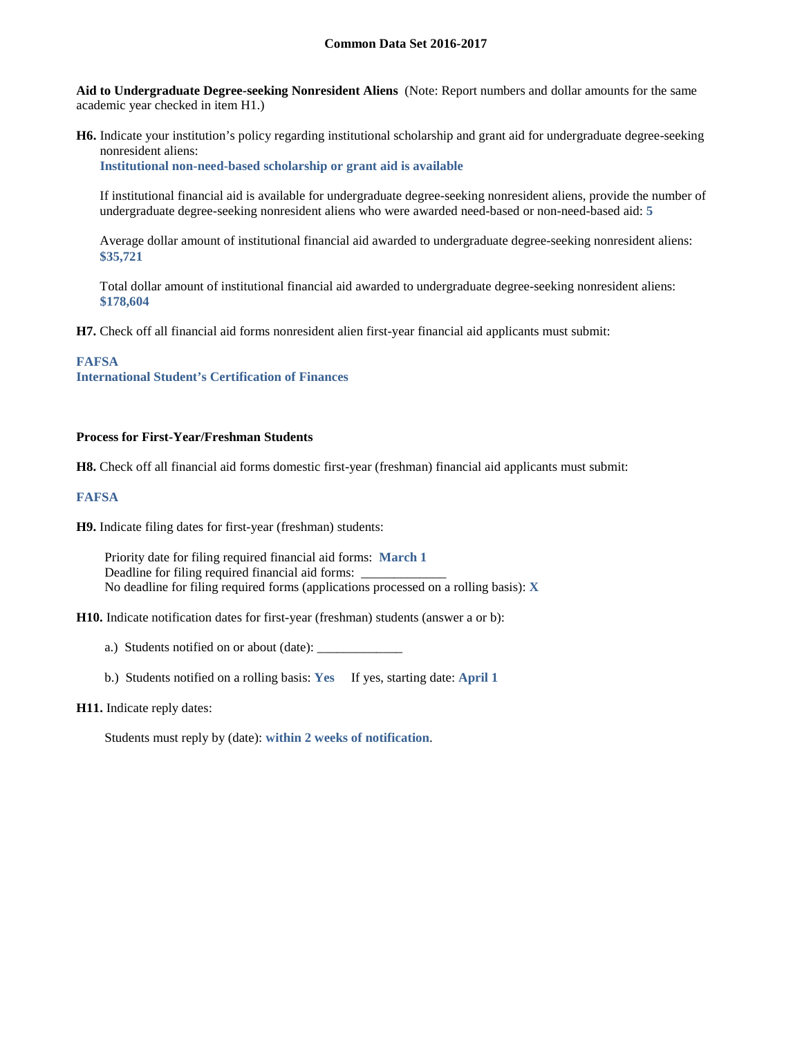**Aid to Undergraduate Degree-seeking Nonresident Aliens** (Note: Report numbers and dollar amounts for the same academic year checked in item H1.)

**H6.** Indicate your institution's policy regarding institutional scholarship and grant aid for undergraduate degree-seeking nonresident aliens:

**Institutional non-need-based scholarship or grant aid is available**

If institutional financial aid is available for undergraduate degree-seeking nonresident aliens, provide the number of undergraduate degree-seeking nonresident aliens who were awarded need-based or non-need-based aid: **5**

Average dollar amount of institutional financial aid awarded to undergraduate degree-seeking nonresident aliens: **\$35,721**

Total dollar amount of institutional financial aid awarded to undergraduate degree-seeking nonresident aliens: **\$178,604**

**H7.** Check off all financial aid forms nonresident alien first-year financial aid applicants must submit:

#### **FAFSA**

**International Student's Certification of Finances**

### **Process for First-Year/Freshman Students**

**H8.** Check off all financial aid forms domestic first-year (freshman) financial aid applicants must submit:

#### **FAFSA**

**H9.** Indicate filing dates for first-year (freshman) students:

Priority date for filing required financial aid forms: **March 1** Deadline for filing required financial aid forms: \_ No deadline for filing required forms (applications processed on a rolling basis): **X**

**H10.** Indicate notification dates for first-year (freshman) students (answer a or b):

a.) Students notified on or about (date): \_\_\_\_\_\_\_\_\_\_\_\_\_

b.) Students notified on a rolling basis: **Yes** If yes, starting date: **April 1**

#### **H11.** Indicate reply dates:

Students must reply by (date): **within 2 weeks of notification**.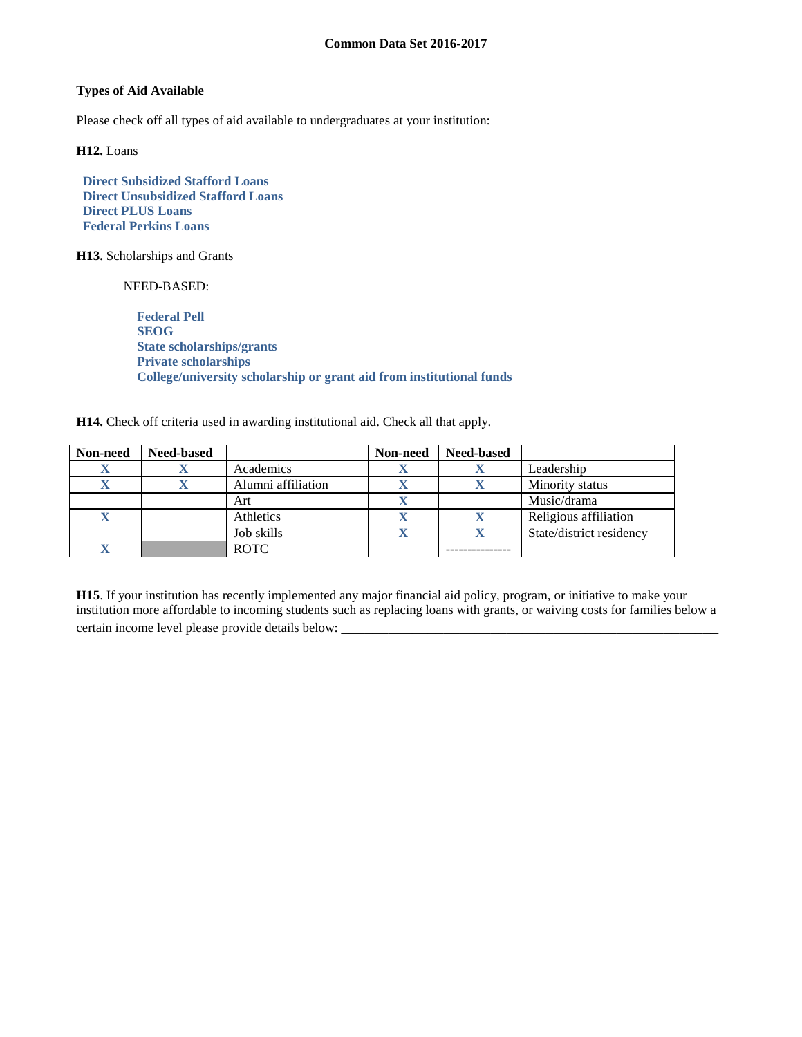## **Types of Aid Available**

Please check off all types of aid available to undergraduates at your institution:

**H12.** Loans

 **Direct Subsidized Stafford Loans Direct Unsubsidized Stafford Loans Direct PLUS Loans Federal Perkins Loans**

**H13.** Scholarships and Grants

NEED-BASED:

 **Federal Pell SEOG State scholarships/grants Private scholarships College/university scholarship or grant aid from institutional funds**

**H14.** Check off criteria used in awarding institutional aid. Check all that apply.

| Non-need | <b>Need-based</b> |                    | Non-need | <b>Need-based</b> |                          |
|----------|-------------------|--------------------|----------|-------------------|--------------------------|
|          |                   | Academics          |          |                   | Leadership               |
|          |                   | Alumni affiliation |          |                   | Minority status          |
|          |                   | Art                |          |                   | Music/drama              |
|          |                   | Athletics          |          | л                 | Religious affiliation    |
|          |                   | Job skills         |          |                   | State/district residency |
|          |                   | <b>ROTC</b>        |          |                   |                          |

**H15**. If your institution has recently implemented any major financial aid policy, program, or initiative to make your institution more affordable to incoming students such as replacing loans with grants, or waiving costs for families below a certain income level please provide details below: \_\_\_\_\_\_\_\_\_\_\_\_\_\_\_\_\_\_\_\_\_\_\_\_\_\_\_\_\_\_\_\_\_\_\_\_\_\_\_\_\_\_\_\_\_\_\_\_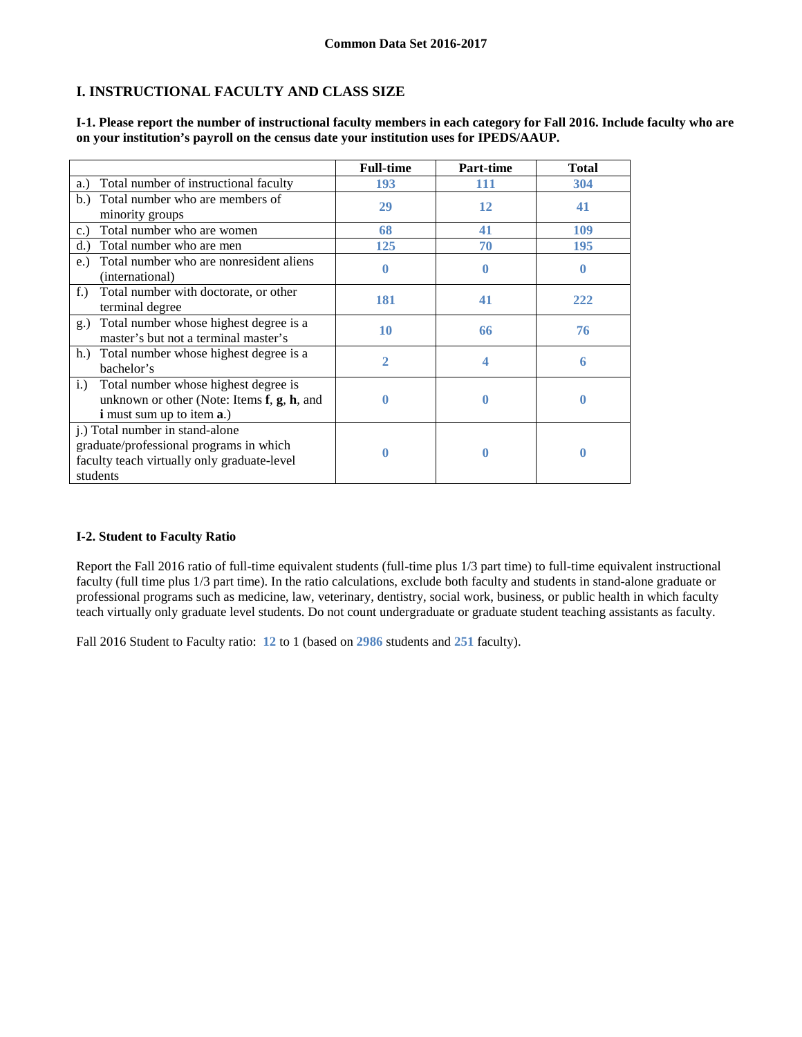# **I. INSTRUCTIONAL FACULTY AND CLASS SIZE**

|                                                                                                                                                | <b>Full-time</b> | <b>Part-time</b> | <b>Total</b> |
|------------------------------------------------------------------------------------------------------------------------------------------------|------------------|------------------|--------------|
| Total number of instructional faculty<br>a.)                                                                                                   | 193              | 111              | 304          |
| Total number who are members of<br>b.<br>minority groups                                                                                       | 29               | 12               | 41           |
| Total number who are women<br>c.                                                                                                               | 68               | 41               | 109          |
| Total number who are men<br>d.                                                                                                                 | 125              | 70               | 195          |
| Total number who are nonresident aliens<br>e.)<br>(international)                                                                              | 0                | 0                | 0            |
| Total number with doctorate, or other<br>$f_{\cdot}$ )<br>terminal degree                                                                      | 181              | 41               | 222          |
| Total number whose highest degree is a<br>$g_{\cdot}$<br>master's but not a terminal master's                                                  | 10               | 66               | 76           |
| Total number whose highest degree is a<br>h.<br>bachelor's                                                                                     | 2                |                  | 6            |
| Total number whose highest degree is<br>i.)<br>unknown or other (Note: Items $f$ , $g$ , $h$ , and<br><b>i</b> must sum up to item <b>a</b> .) | O                | 0                | 0            |
| j.) Total number in stand-alone<br>graduate/professional programs in which<br>faculty teach virtually only graduate-level<br>students          |                  | 0                | 0            |

**I-1. Please report the number of instructional faculty members in each category for Fall 2016. Include faculty who are on your institution's payroll on the census date your institution uses for IPEDS/AAUP.**

## **I-2. Student to Faculty Ratio**

Report the Fall 2016 ratio of full-time equivalent students (full-time plus 1/3 part time) to full-time equivalent instructional faculty (full time plus 1/3 part time). In the ratio calculations, exclude both faculty and students in stand-alone graduate or professional programs such as medicine, law, veterinary, dentistry, social work, business, or public health in which faculty teach virtually only graduate level students. Do not count undergraduate or graduate student teaching assistants as faculty.

Fall 2016 Student to Faculty ratio: **12** to 1 (based on **2986** students and **251** faculty).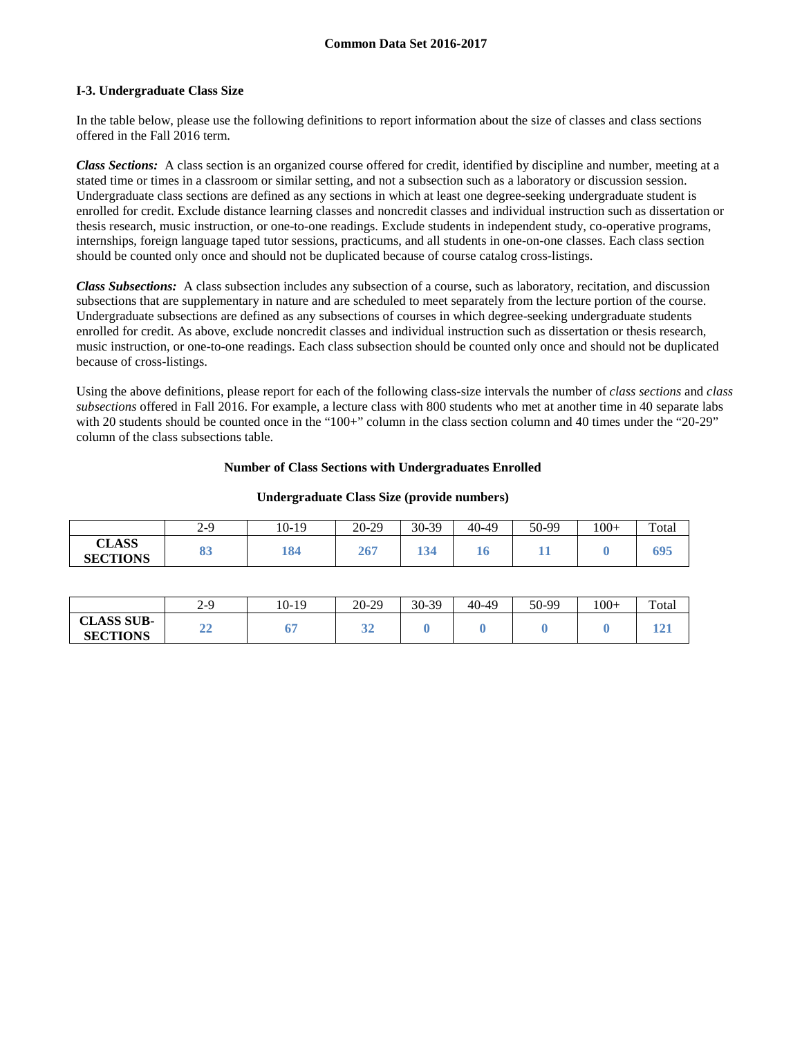### **I-3. Undergraduate Class Size**

In the table below, please use the following definitions to report information about the size of classes and class sections offered in the Fall 2016 term.

*Class Sections:* A class section is an organized course offered for credit, identified by discipline and number, meeting at a stated time or times in a classroom or similar setting, and not a subsection such as a laboratory or discussion session. Undergraduate class sections are defined as any sections in which at least one degree-seeking undergraduate student is enrolled for credit. Exclude distance learning classes and noncredit classes and individual instruction such as dissertation or thesis research, music instruction, or one-to-one readings. Exclude students in independent study, co-operative programs, internships, foreign language taped tutor sessions, practicums, and all students in one-on-one classes. Each class section should be counted only once and should not be duplicated because of course catalog cross-listings.

*Class Subsections:* A class subsection includes any subsection of a course, such as laboratory, recitation, and discussion subsections that are supplementary in nature and are scheduled to meet separately from the lecture portion of the course. Undergraduate subsections are defined as any subsections of courses in which degree-seeking undergraduate students enrolled for credit. As above, exclude noncredit classes and individual instruction such as dissertation or thesis research, music instruction, or one-to-one readings. Each class subsection should be counted only once and should not be duplicated because of cross-listings.

Using the above definitions, please report for each of the following class-size intervals the number of *class sections* and *class subsections* offered in Fall 2016. For example, a lecture class with 800 students who met at another time in 40 separate labs with 20 students should be counted once in the "100+" column in the class section column and 40 times under the "20-29" column of the class subsections table.

### **Number of Class Sections with Undergraduates Enrolled**

|                                 | $2 - 9$  | 10-19 | $20 - 29$ | 30-39 | 40-49 | 50-99 | $100+$ | Total |
|---------------------------------|----------|-------|-----------|-------|-------|-------|--------|-------|
| <b>CLASS</b><br><b>SECTIONS</b> | റീ<br>თა | 184   | 267       |       | 10    | . .   |        | 695   |

| Undergraduate Class Size (provide numbers) |  |  |
|--------------------------------------------|--|--|
|                                            |  |  |

|                                      | $2 - 9$      | 10-19 | $20 - 29$ | 30-39 | 40-49 | 50-99 | $100+$ | Total |
|--------------------------------------|--------------|-------|-----------|-------|-------|-------|--------|-------|
| <b>CLASS SUB-</b><br><b>SECTIONS</b> | $\sim$<br>∸∸ | υ.    | ັ         |       |       |       |        |       |